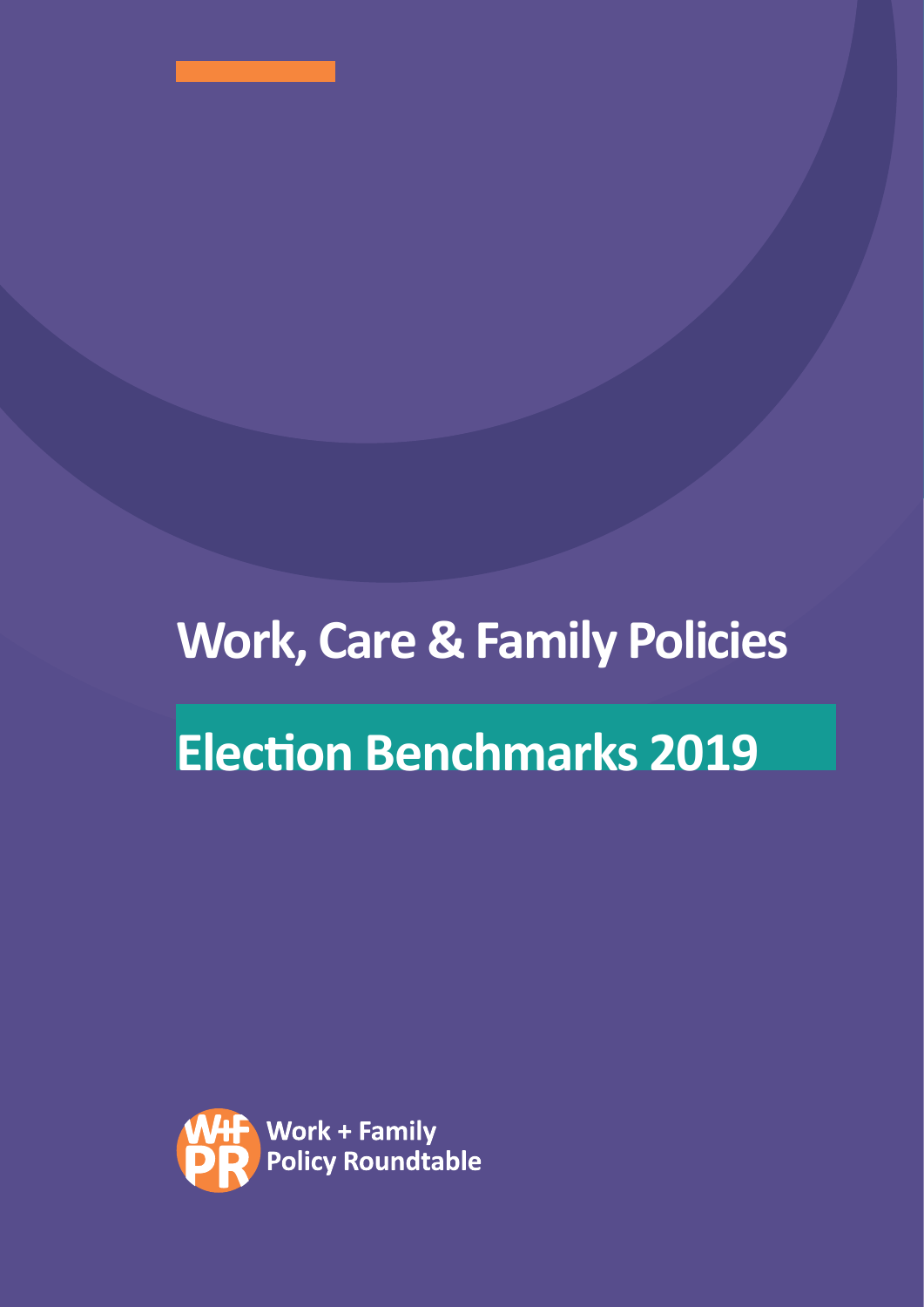**Work, Care & Family Policies Election Benchmarks 2019**



**Election Benchmarks 2019**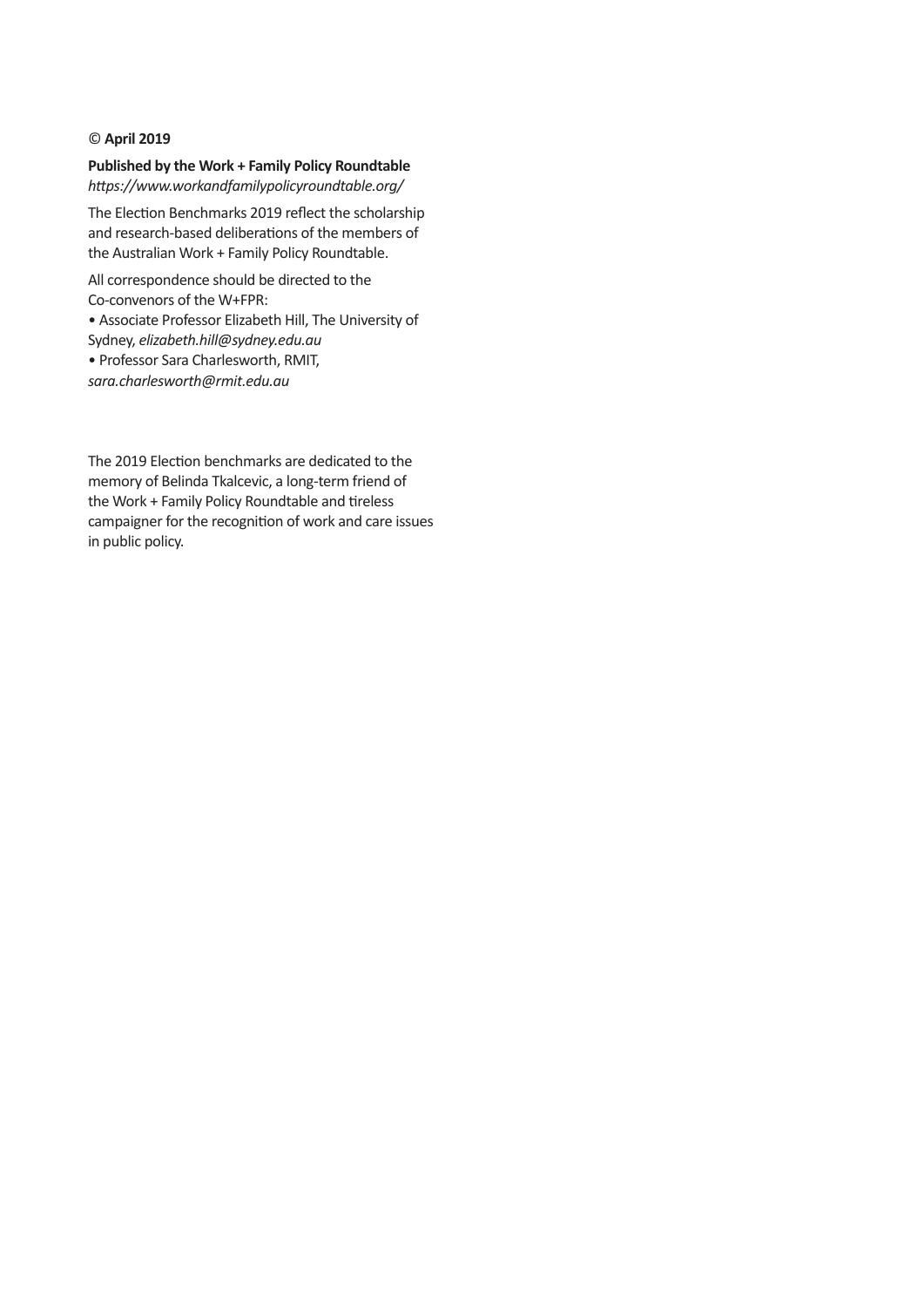#### © **April 2019**

#### **Published by the Work + Family Policy Roundtable** *<https://www.workandfamilypolicyroundtable.org/>*

The Election Benchmarks 2019 reflect the scholarship and research-based deliberations of the members of the Australian Work + Family Policy Roundtable.

All correspondence should be directed to the Co‑convenors of the W+FPR:

• Associate Professor Elizabeth Hill, The University of

Sydney, *[elizabeth.hill@sydney.edu.au](mailto:elizabeth.hill%40sydney.edu.au?subject=)* • Professor Sara Charlesworth, RMIT,

*[sara.charlesworth@rmit.edu.au](mailto:sara.charlesworth%40rmit.edu.au?subject=)*

The 2019 Election benchmarks are dedicated to the memory of Belinda Tkalcevic, a long-term friend of the Work + Family Policy Roundtable and tireless campaigner for the recognition of work and care issues in public policy.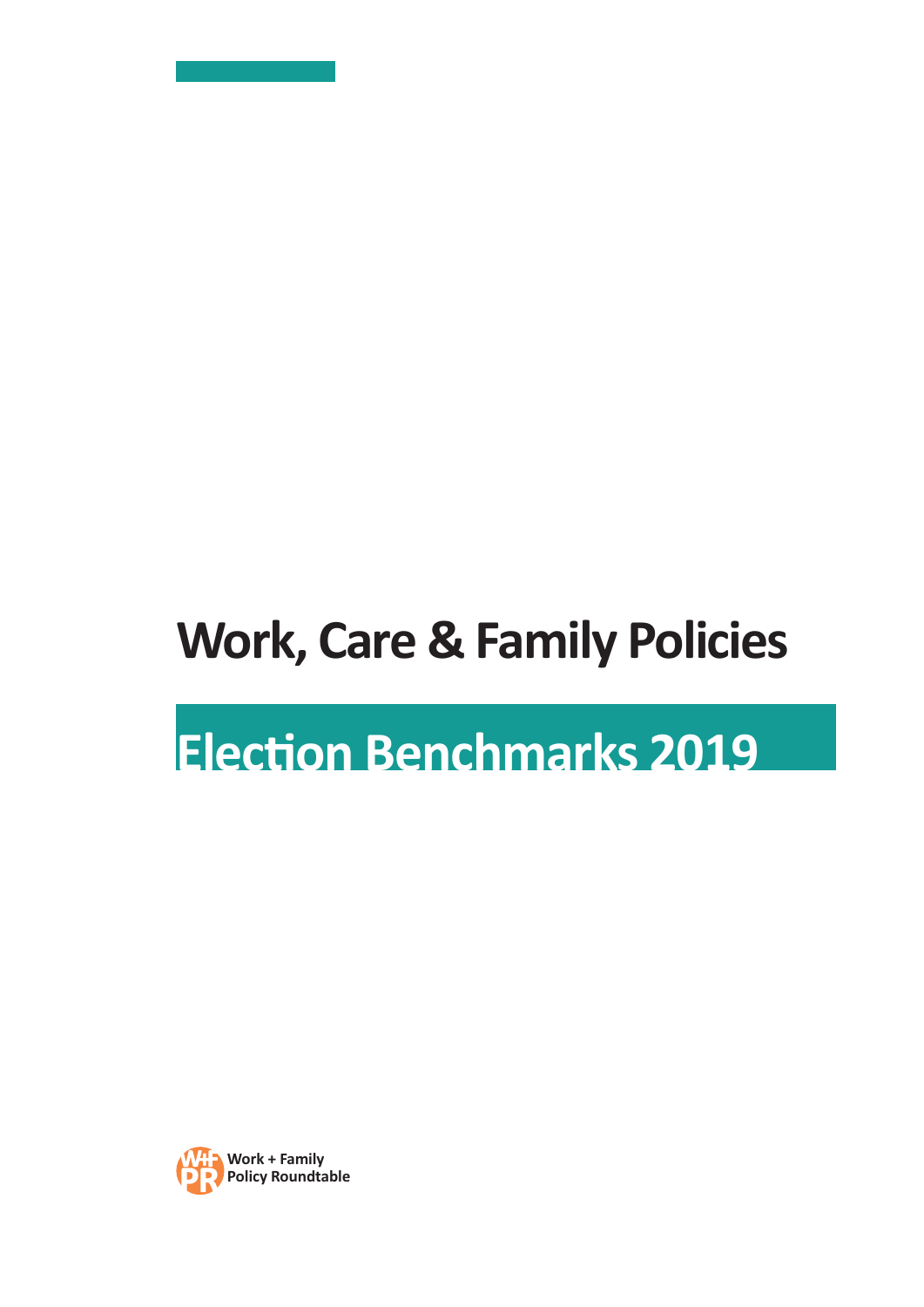# **Work, Care & Family Policies**

## **Election Benchmarks 2019**

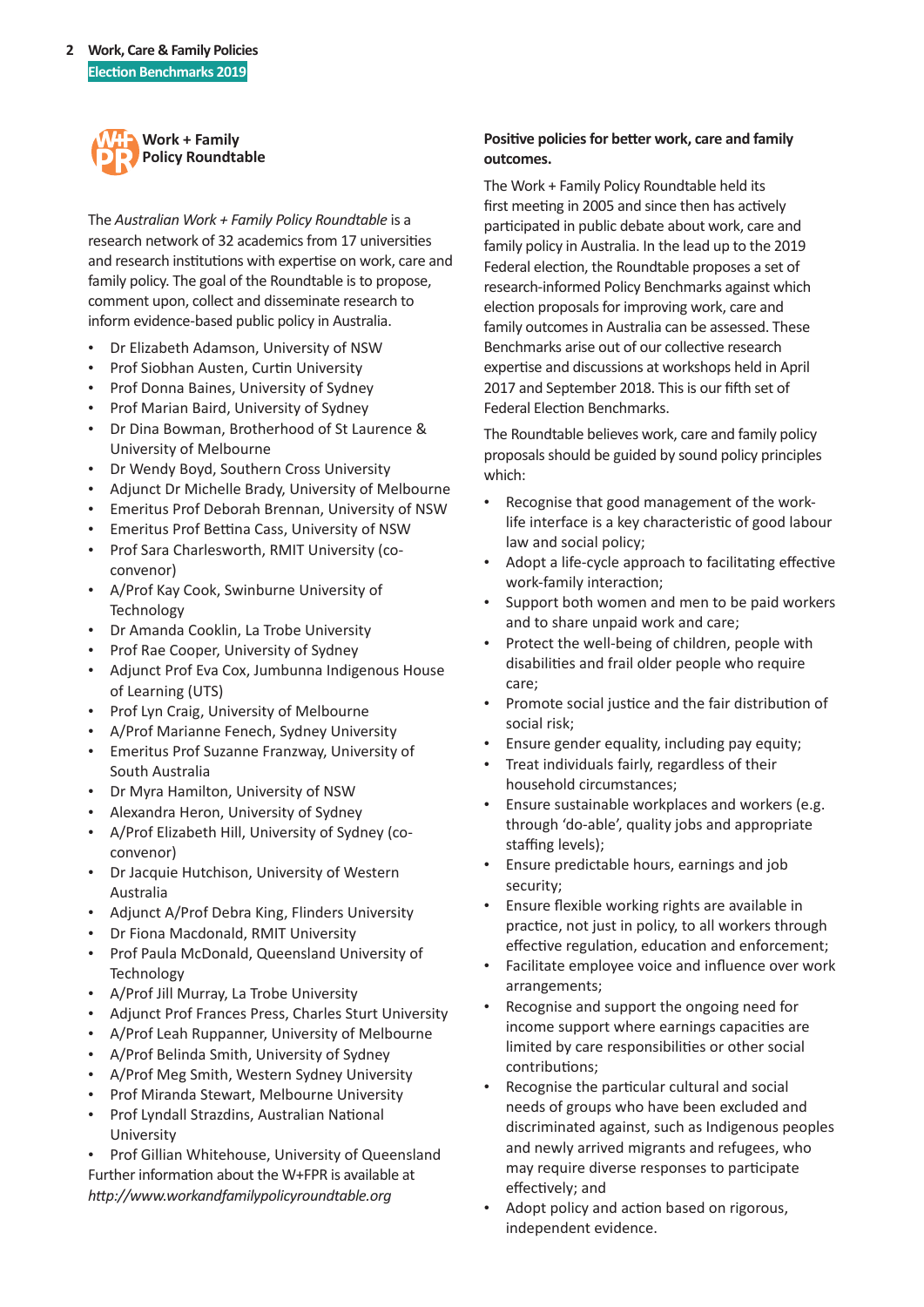

The *Australian Work + Family Policy Roundtable* is a research network of 32 academics from 17 universities and research institutions with expertise on work, care and family policy. The goal of the Roundtable is to propose, comment upon, collect and disseminate research to inform evidence-based public policy in Australia.

- Dr Elizabeth Adamson, University of NSW
- Prof Siobhan Austen, Curtin University
- Prof Donna Baines, University of Sydney
- Prof Marian Baird, University of Sydney
- Dr Dina Bowman, Brotherhood of St Laurence & University of Melbourne
- Dr Wendy Boyd, Southern Cross University
- Adjunct Dr Michelle Brady, University of Melbourne
- Emeritus Prof Deborah Brennan, University of NSW
- Emeritus Prof Bettina Cass, University of NSW
- Prof Sara Charlesworth, RMIT University (coconvenor)
- A/Prof Kay Cook, Swinburne University of Technology
- Dr Amanda Cooklin, La Trobe University
- Prof Rae Cooper, University of Sydney
- Adjunct Prof Eva Cox, Jumbunna Indigenous House of Learning (UTS)
- Prof Lyn Craig, University of Melbourne
- A/Prof Marianne Fenech, Sydney University
- Emeritus Prof Suzanne Franzway, University of South Australia
- Dr Myra Hamilton, University of NSW
- Alexandra Heron, University of Sydney
- A/Prof Elizabeth Hill, University of Sydney (coconvenor)
- Dr Jacquie Hutchison, University of Western Australia
- Adjunct A/Prof Debra King, Flinders University
- Dr Fiona Macdonald, RMIT University
- Prof Paula McDonald, Queensland University of Technology
- A/Prof Jill Murray, La Trobe University
- Adjunct Prof Frances Press, Charles Sturt University
- A/Prof Leah Ruppanner, University of Melbourne
- A/Prof Belinda Smith, University of Sydney
- A/Prof Meg Smith, Western Sydney University
- Prof Miranda Stewart, Melbourne University
- Prof Lyndall Strazdins, Australian National University

• Prof Gillian Whitehouse, University of Queensland Further information about the W+FPR is available at *<http://www.workandfamilypolicyroundtable.org>*

#### **Positive policies for better work, care and family outcomes.**

The Work + Family Policy Roundtable held its first meeting in 2005 and since then has actively participated in public debate about work, care and family policy in Australia. In the lead up to the 2019 Federal election, the Roundtable proposes a set of research-informed Policy Benchmarks against which election proposals for improving work, care and family outcomes in Australia can be assessed. These Benchmarks arise out of our collective research expertise and discussions at workshops held in April 2017 and September 2018. This is our fifth set of Federal Election Benchmarks.

The Roundtable believes work, care and family policy proposals should be guided by sound policy principles which:

- Recognise that good management of the worklife interface is a key characteristic of good labour law and social policy;
- Adopt a life-cycle approach to facilitating effective work-family interaction;
- Support both women and men to be paid workers and to share unpaid work and care;
- Protect the well-being of children, people with disabilities and frail older people who require care;
- Promote social justice and the fair distribution of social risk;
- Ensure gender equality, including pay equity;
- Treat individuals fairly, regardless of their household circumstances;
- Ensure sustainable workplaces and workers (e.g. through 'do-able', quality jobs and appropriate staffing levels);
- Ensure predictable hours, earnings and job security;
- Ensure flexible working rights are available in practice, not just in policy, to all workers through effective regulation, education and enforcement;
- Facilitate employee voice and influence over work arrangements;
- Recognise and support the ongoing need for income support where earnings capacities are limited by care responsibilities or other social contributions;
- Recognise the particular cultural and social needs of groups who have been excluded and discriminated against, such as Indigenous peoples and newly arrived migrants and refugees, who may require diverse responses to participate effectively; and
- Adopt policy and action based on rigorous, independent evidence.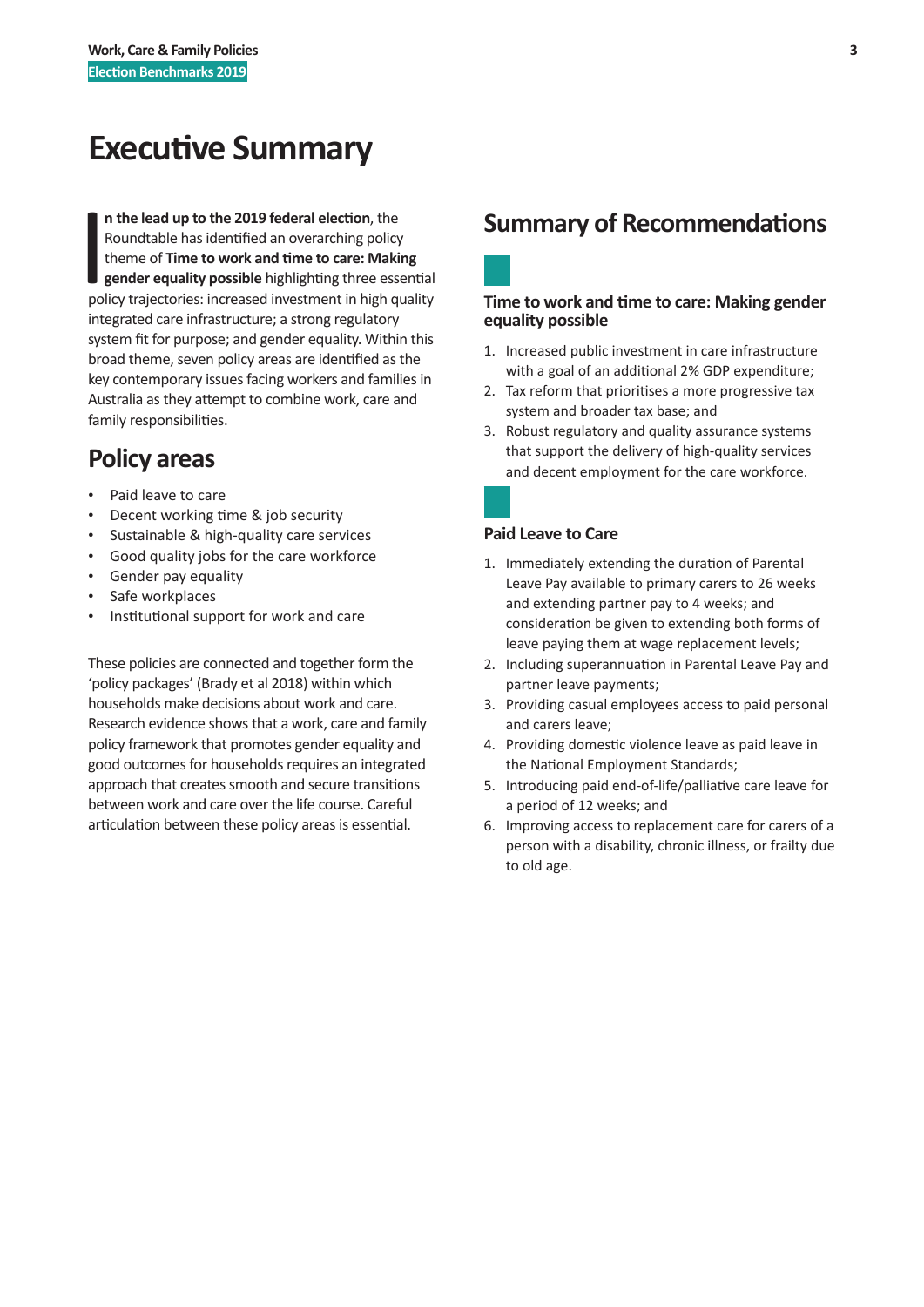## **Executive Summary**

 $\begin{bmatrix} 1 \\ 1 \\ 1 \\ 0 \end{bmatrix}$ **n the lead up to the 2019 federal election**, the Roundtable has identified an overarching policy theme of **Time to work and time to care: Making gender equality possible** highlighting three essential policy trajectories: increased investment in high quality integrated care infrastructure; a strong regulatory system fit for purpose; and gender equality. Within this broad theme, seven policy areas are identified as the key contemporary issues facing workers and families in Australia as they attempt to combine work, care and family responsibilities.

## **Policy areas**

- Paid leave to care
- Decent working time & job security
- Sustainable & high-quality care services
- Good quality jobs for the care workforce
- Gender pay equality
- Safe workplaces
- Institutional support for work and care

These policies are connected and together form the 'policy packages' (Brady et al 2018) within which households make decisions about work and care. Research evidence shows that a work, care and family policy framework that promotes gender equality and good outcomes for households requires an integrated approach that creates smooth and secure transitions between work and care over the life course. Careful articulation between these policy areas is essential.

#### **Summary of Recommendations**

#### **Time to work and time to care: Making gender equality possible**

- 1. Increased public investment in care infrastructure with a goal of an additional 2% GDP expenditure;
- 2. Tax reform that prioritises a more progressive tax system and broader tax base; and
- 3. Robust regulatory and quality assurance systems that support the delivery of high-quality services and decent employment for the care workforce.

#### **Paid Leave to Care**

- 1. Immediately extending the duration of Parental Leave Pay available to primary carers to 26 weeks and extending partner pay to 4 weeks; and consideration be given to extending both forms of leave paying them at wage replacement levels;
- 2. Including superannuation in Parental Leave Pay and partner leave payments;
- 3. Providing casual employees access to paid personal and carers leave;
- 4. Providing domestic violence leave as paid leave in the National Employment Standards;
- 5. Introducing paid end-of-life/palliative care leave for a period of 12 weeks; and
- 6. Improving access to replacement care for carers of a person with a disability, chronic illness, or frailty due to old age.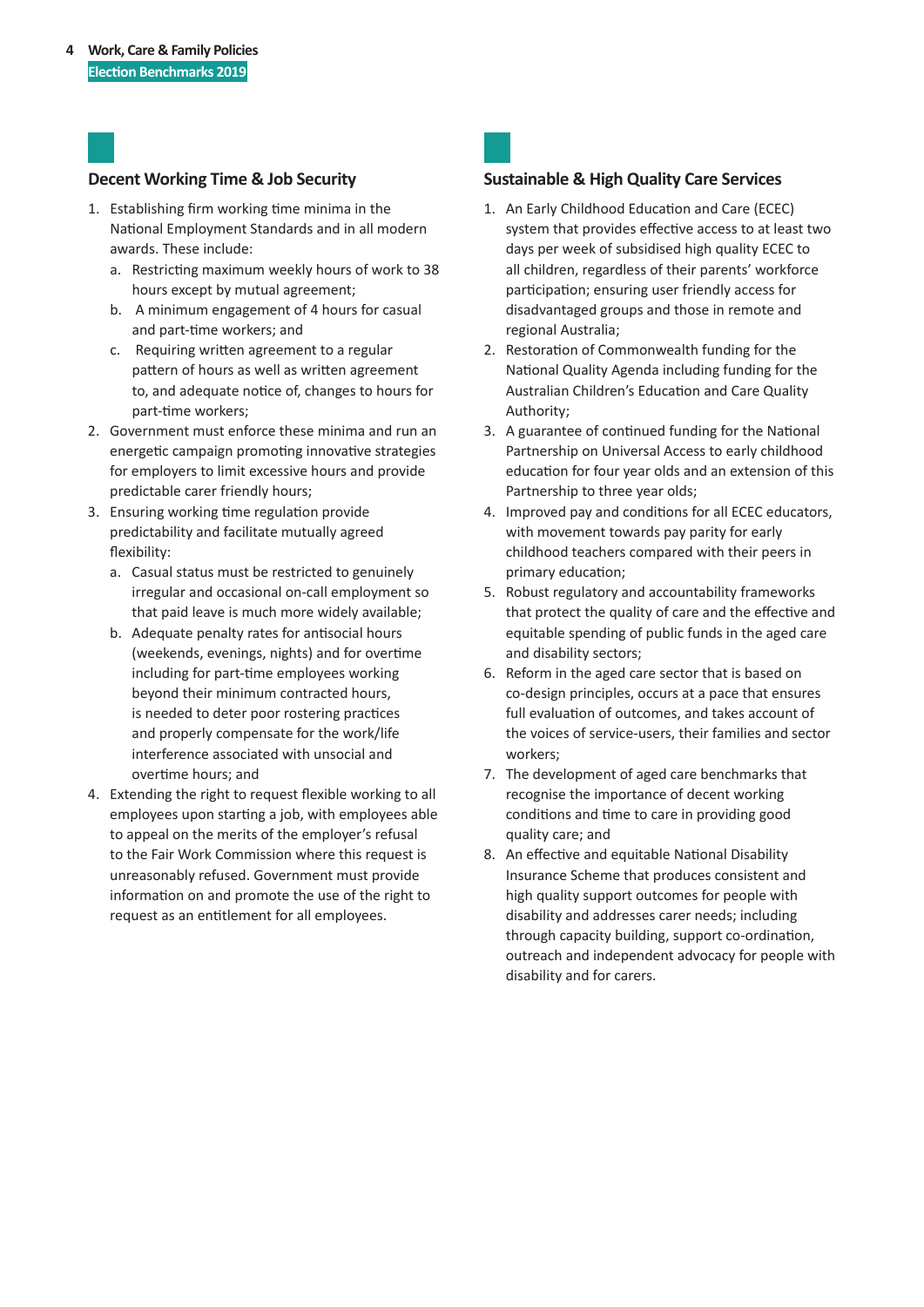

#### **Decent Working Time & Job Security**

- 1. Establishing firm working time minima in the National Employment Standards and in all modern awards. These include:
	- a. Restricting maximum weekly hours of work to 38 hours except by mutual agreement;
	- b. A minimum engagement of 4 hours for casual and part-time workers; and
	- c. Requiring written agreement to a regular pattern of hours as well as written agreement to, and adequate notice of, changes to hours for part-time workers;
- 2. Government must enforce these minima and run an energetic campaign promoting innovative strategies for employers to limit excessive hours and provide predictable carer friendly hours;
- 3. Ensuring working time regulation provide predictability and facilitate mutually agreed flexibility:
	- a. Casual status must be restricted to genuinely irregular and occasional on-call employment so that paid leave is much more widely available;
	- b. Adequate penalty rates for antisocial hours (weekends, evenings, nights) and for overtime including for part-time employees working beyond their minimum contracted hours, is needed to deter poor rostering practices and properly compensate for the work/life interference associated with unsocial and overtime hours; and
- 4. Extending the right to request flexible working to all employees upon starting a job, with employees able to appeal on the merits of the employer's refusal to the Fair Work Commission where this request is unreasonably refused. Government must provide information on and promote the use of the right to request as an entitlement for all employees.

#### **Sustainable & High Quality Care Services**

- 1. An Early Childhood Education and Care (ECEC) system that provides effective access to at least two days per week of subsidised high quality ECEC to all children, regardless of their parents' workforce participation; ensuring user friendly access for disadvantaged groups and those in remote and regional Australia;
- 2. Restoration of Commonwealth funding for the National Quality Agenda including funding for the Australian Children's Education and Care Quality Authority;
- 3. A guarantee of continued funding for the National Partnership on Universal Access to early childhood education for four year olds and an extension of this Partnership to three year olds;
- 4. Improved pay and conditions for all ECEC educators, with movement towards pay parity for early childhood teachers compared with their peers in primary education;
- 5. Robust regulatory and accountability frameworks that protect the quality of care and the effective and equitable spending of public funds in the aged care and disability sectors;
- 6. Reform in the aged care sector that is based on co-design principles, occurs at a pace that ensures full evaluation of outcomes, and takes account of the voices of service-users, their families and sector workers;
- 7. The development of aged care benchmarks that recognise the importance of decent working conditions and time to care in providing good quality care; and
- 8. An effective and equitable National Disability Insurance Scheme that produces consistent and high quality support outcomes for people with disability and addresses carer needs; including through capacity building, support co-ordination, outreach and independent advocacy for people with disability and for carers.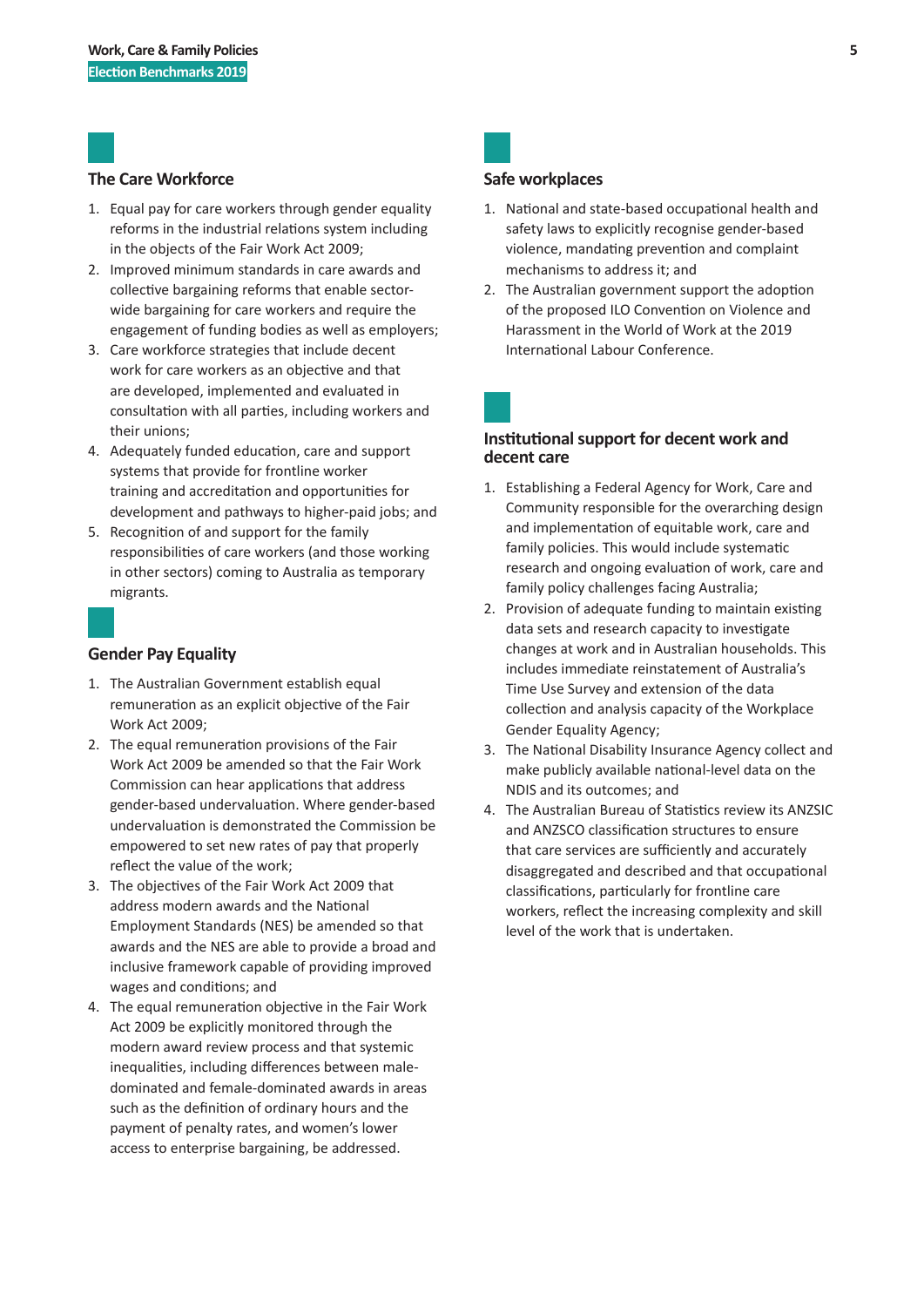#### **The Care Workforce**

- 1. Equal pay for care workers through gender equality reforms in the industrial relations system including in the objects of the Fair Work Act 2009;
- 2. Improved minimum standards in care awards and collective bargaining reforms that enable sectorwide bargaining for care workers and require the engagement of funding bodies as well as employers;
- 3. Care workforce strategies that include decent work for care workers as an objective and that are developed, implemented and evaluated in consultation with all parties, including workers and their unions;
- 4. Adequately funded education, care and support systems that provide for frontline worker training and accreditation and opportunities for development and pathways to higher-paid jobs; and
- 5. Recognition of and support for the family responsibilities of care workers (and those working in other sectors) coming to Australia as temporary migrants.

#### **Gender Pay Equality**

- 1. The Australian Government establish equal remuneration as an explicit objective of the Fair Work Act 2009;
- 2. The equal remuneration provisions of the Fair Work Act 2009 be amended so that the Fair Work Commission can hear applications that address gender-based undervaluation. Where gender-based undervaluation is demonstrated the Commission be empowered to set new rates of pay that properly reflect the value of the work;
- 3. The objectives of the Fair Work Act 2009 that address modern awards and the National Employment Standards (NES) be amended so that awards and the NES are able to provide a broad and inclusive framework capable of providing improved wages and conditions; and
- 4. The equal remuneration objective in the Fair Work Act 2009 be explicitly monitored through the modern award review process and that systemic inequalities, including differences between maledominated and female-dominated awards in areas such as the definition of ordinary hours and the payment of penalty rates, and women's lower access to enterprise bargaining, be addressed.

#### **Safe workplaces**

- 1. National and state-based occupational health and safety laws to explicitly recognise gender-based violence, mandating prevention and complaint mechanisms to address it; and
- 2. The Australian government support the adoption of the proposed ILO Convention on Violence and Harassment in the World of Work at the 2019 International Labour Conference.

#### **Institutional support for decent work and decent care**

- 1. Establishing a Federal Agency for Work, Care and Community responsible for the overarching design and implementation of equitable work, care and family policies. This would include systematic research and ongoing evaluation of work, care and family policy challenges facing Australia;
- 2. Provision of adequate funding to maintain existing data sets and research capacity to investigate changes at work and in Australian households. This includes immediate reinstatement of Australia's Time Use Survey and extension of the data collection and analysis capacity of the Workplace Gender Equality Agency;
- 3. The National Disability Insurance Agency collect and make publicly available national-level data on the NDIS and its outcomes; and
- 4. The Australian Bureau of Statistics review its ANZSIC and ANZSCO classification structures to ensure that care services are sufficiently and accurately disaggregated and described and that occupational classifications, particularly for frontline care workers, reflect the increasing complexity and skill level of the work that is undertaken.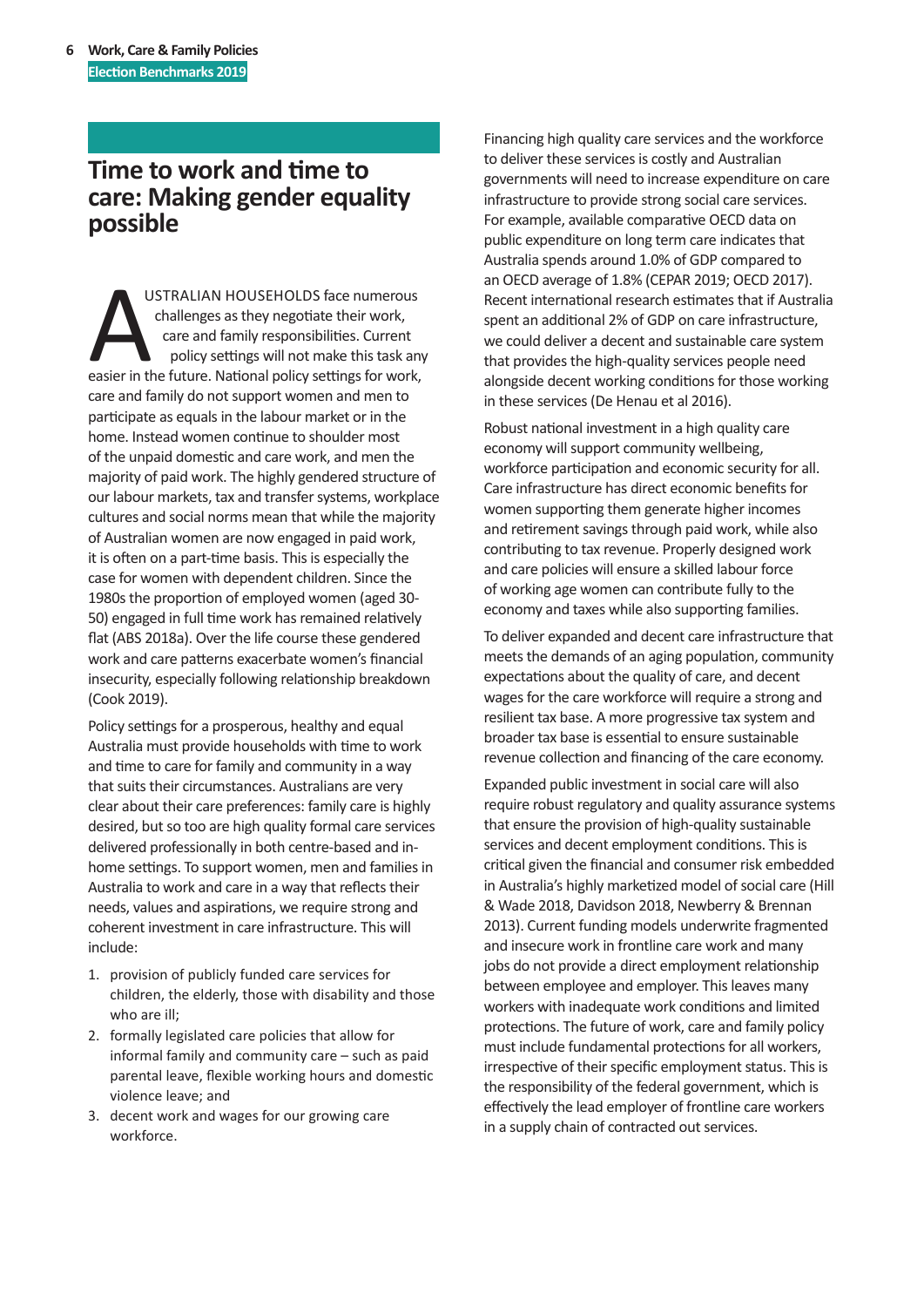## **Time to work and time to care: Making gender equality possible**

USTRALIAN HOUSEHOLDS face numerous<br>challenges as they negotiate their work,<br>care and family responsibilities. Current<br>policy settings will not make this task any<br>easier in the future. National policy settings for work, USTRALIAN HOUSEHOLDS face numerous challenges as they negotiate their work, care and family responsibilities. Current policy settings will not make this task any care and family do not support women and men to participate as equals in the labour market or in the home. Instead women continue to shoulder most of the unpaid domestic and care work, and men the majority of paid work. The highly gendered structure of our labour markets, tax and transfer systems, workplace cultures and social norms mean that while the majority of Australian women are now engaged in paid work, it is often on a part-time basis. This is especially the case for women with dependent children. Since the 1980s the proportion of employed women (aged 30- 50) engaged in full time work has remained relatively flat (ABS 2018a). Over the life course these gendered work and care patterns exacerbate women's financial insecurity, especially following relationship breakdown (Cook 2019).

Policy settings for a prosperous, healthy and equal Australia must provide households with time to work and time to care for family and community in a way that suits their circumstances. Australians are very clear about their care preferences: family care is highly desired, but so too are high quality formal care services delivered professionally in both centre-based and inhome settings. To support women, men and families in Australia to work and care in a way that reflects their needs, values and aspirations, we require strong and coherent investment in care infrastructure. This will include:

- 1. provision of publicly funded care services for children, the elderly, those with disability and those who are ill;
- 2. formally legislated care policies that allow for informal family and community care – such as paid parental leave, flexible working hours and domestic violence leave; and
- 3. decent work and wages for our growing care workforce.

Financing high quality care services and the workforce to deliver these services is costly and Australian governments will need to increase expenditure on care infrastructure to provide strong social care services. For example, available comparative OECD data on public expenditure on long term care indicates that Australia spends around 1.0% of GDP compared to an OECD average of 1.8% (CEPAR 2019; OECD 2017). Recent international research estimates that if Australia spent an additional 2% of GDP on care infrastructure, we could deliver a decent and sustainable care system that provides the high-quality services people need alongside decent working conditions for those working in these services (De Henau et al 2016).

Robust national investment in a high quality care economy will support community wellbeing, workforce participation and economic security for all. Care infrastructure has direct economic benefits for women supporting them generate higher incomes and retirement savings through paid work, while also contributing to tax revenue. Properly designed work and care policies will ensure a skilled labour force of working age women can contribute fully to the economy and taxes while also supporting families.

To deliver expanded and decent care infrastructure that meets the demands of an aging population, community expectations about the quality of care, and decent wages for the care workforce will require a strong and resilient tax base. A more progressive tax system and broader tax base is essential to ensure sustainable revenue collection and financing of the care economy.

Expanded public investment in social care will also require robust regulatory and quality assurance systems that ensure the provision of high-quality sustainable services and decent employment conditions. This is critical given the financial and consumer risk embedded in Australia's highly marketized model of social care (Hill & Wade 2018, Davidson 2018, Newberry & Brennan 2013). Current funding models underwrite fragmented and insecure work in frontline care work and many jobs do not provide a direct employment relationship between employee and employer. This leaves many workers with inadequate work conditions and limited protections. The future of work, care and family policy must include fundamental protections for all workers, irrespective of their specific employment status. This is the responsibility of the federal government, which is effectively the lead employer of frontline care workers in a supply chain of contracted out services.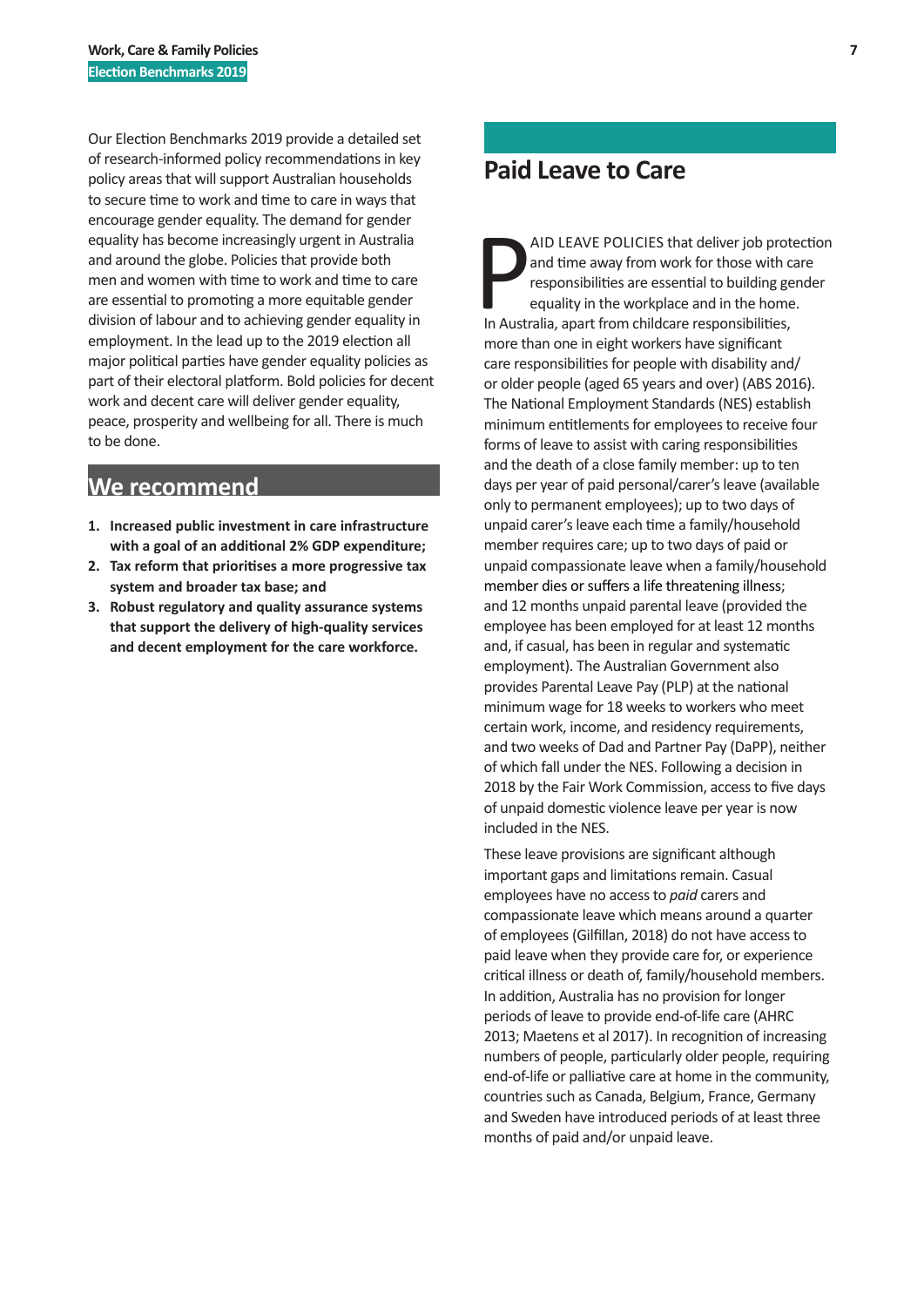Our Election Benchmarks 2019 provide a detailed set of research-informed policy recommendations in key policy areas that will support Australian households to secure time to work and time to care in ways that encourage gender equality. The demand for gender equality has become increasingly urgent in Australia and around the globe. Policies that provide both men and women with time to work and time to care are essential to promoting a more equitable gender division of labour and to achieving gender equality in employment. In the lead up to the 2019 election all major political parties have gender equality policies as part of their electoral platform. Bold policies for decent work and decent care will deliver gender equality. peace, prosperity and wellbeing for all. There is much to be done.

#### **We recommend**

- **1. Increased public investment in care infrastructure with a goal of an additional 2% GDP expenditure;**
- **2. Tax reform that prioritises a more progressive tax system and broader tax base; and**
- **3. Robust regulatory and quality assurance systems that support the delivery of high-quality services and decent employment for the care workforce.**

## **Paid Leave to Care**

AID LEAVE POLICIES that deliver job prot<br>and time away from work for those with c<br>responsibilities are essential to building ge<br>equality in the workplace and in the home<br>In Australia, apart from childcare responsibilities, AID LEAVE POLICIES that deliver job protection and time away from work for those with care responsibilities are essential to building gender equality in the workplace and in the home. more than one in eight workers have significant care responsibilities for people with disability and/ or older people (aged 65 years and over) (ABS 2016). The National Employment Standards (NES) establish minimum entitlements for employees to receive four forms of leave to assist with caring responsibilities and the death of a close family member: up to ten days per year of paid personal/carer's leave (available only to permanent employees); up to two days of unpaid carer's leave each time a family/household member requires care; up to two days of paid or unpaid compassionate leave when a family/household member dies or suffers a life threatening illness; and 12 months unpaid parental leave (provided the employee has been employed for at least 12 months and, if casual, has been in regular and systematic employment). The Australian Government also provides Parental Leave Pay (PLP) at the national minimum wage for 18 weeks to workers who meet certain work, income, and residency requirements, and two weeks of Dad and Partner Pay (DaPP), neither of which fall under the NES. Following a decision in 2018 by the Fair Work Commission, access to five days of unpaid domestic violence leave per year is now included in the NES.

These leave provisions are significant although important gaps and limitations remain. Casual employees have no access to *paid* carers and compassionate leave which means around a quarter of employees (Gilfillan, 2018) do not have access to paid leave when they provide care for, or experience critical illness or death of, family/household members. In addition, Australia has no provision for longer periods of leave to provide end-of-life care (AHRC 2013; Maetens et al 2017). In recognition of increasing numbers of people, particularly older people, requiring end-of-life or palliative care at home in the community, countries such as Canada, Belgium, France, Germany and Sweden have introduced periods of at least three months of paid and/or unpaid leave.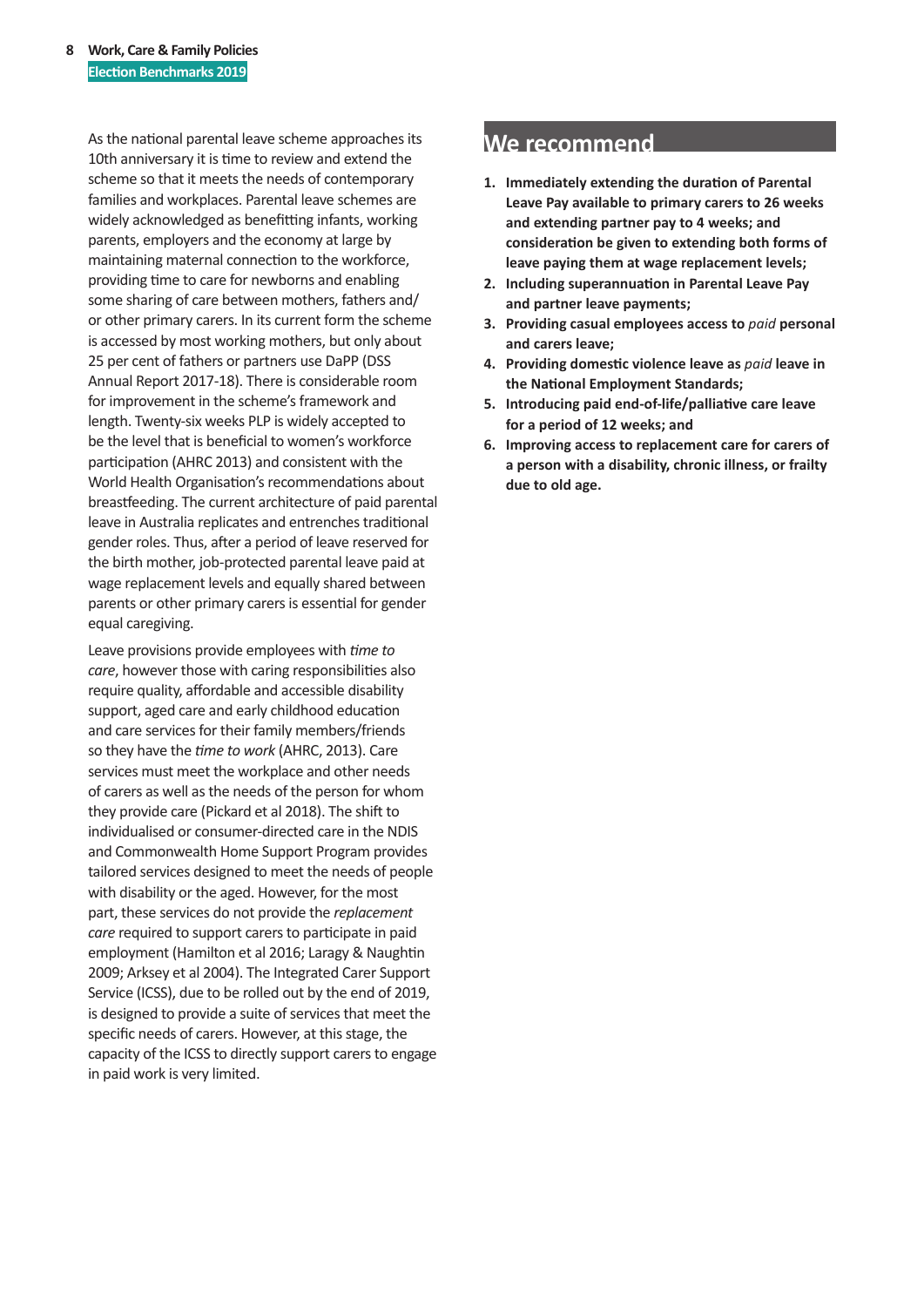As the national parental leave scheme approaches its 10th anniversary it is time to review and extend the scheme so that it meets the needs of contemporary families and workplaces. Parental leave schemes are widely acknowledged as benefitting infants, working parents, employers and the economy at large by maintaining maternal connection to the workforce, providing time to care for newborns and enabling some sharing of care between mothers, fathers and/ or other primary carers. In its current form the scheme is accessed by most working mothers, but only about 25 per cent of fathers or partners use DaPP (DSS Annual Report 2017-18). There is considerable room for improvement in the scheme's framework and length. Twenty-six weeks PLP is widely accepted to be the level that is beneficial to women's workforce participation (AHRC 2013) and consistent with the World Health Organisation's recommendations about breastfeeding. The current architecture of paid parental leave in Australia replicates and entrenches traditional gender roles. Thus, after a period of leave reserved for the birth mother, job-protected parental leave paid at wage replacement levels and equally shared between parents or other primary carers is essential for gender equal caregiving.

Leave provisions provide employees with *time to care*, however those with caring responsibilities also require quality, affordable and accessible disability support, aged care and early childhood education and care services for their family members/friends so they have the *time to work* (AHRC, 2013). Care services must meet the workplace and other needs of carers as well as the needs of the person for whom they provide care (Pickard et al 2018). The shift to individualised or consumer-directed care in the NDIS and Commonwealth Home Support Program provides tailored services designed to meet the needs of people with disability or the aged. However, for the most part, these services do not provide the *replacement care* required to support carers to participate in paid employment (Hamilton et al 2016; Laragy & Naughtin 2009; Arksey et al 2004). The Integrated Carer Support Service (ICSS), due to be rolled out by the end of 2019, is designed to provide a suite of services that meet the specific needs of carers. However, at this stage, the capacity of the ICSS to directly support carers to engage in paid work is very limited.

### **We recommend**

- **1. Immediately extending the duration of Parental Leave Pay available to primary carers to 26 weeks and extending partner pay to 4 weeks; and consideration be given to extending both forms of leave paying them at wage replacement levels;**
- **2. Including superannuation in Parental Leave Pay and partner leave payments;**
- **3. Providing casual employees access to** *paid* **personal and carers leave;**
- **4. Providing domestic violence leave as** *paid* **leave in the National Employment Standards;**
- **5. Introducing paid end-of-life/palliative care leave for a period of 12 weeks; and**
- **6. Improving access to replacement care for carers of a person with a disability, chronic illness, or frailty due to old age.**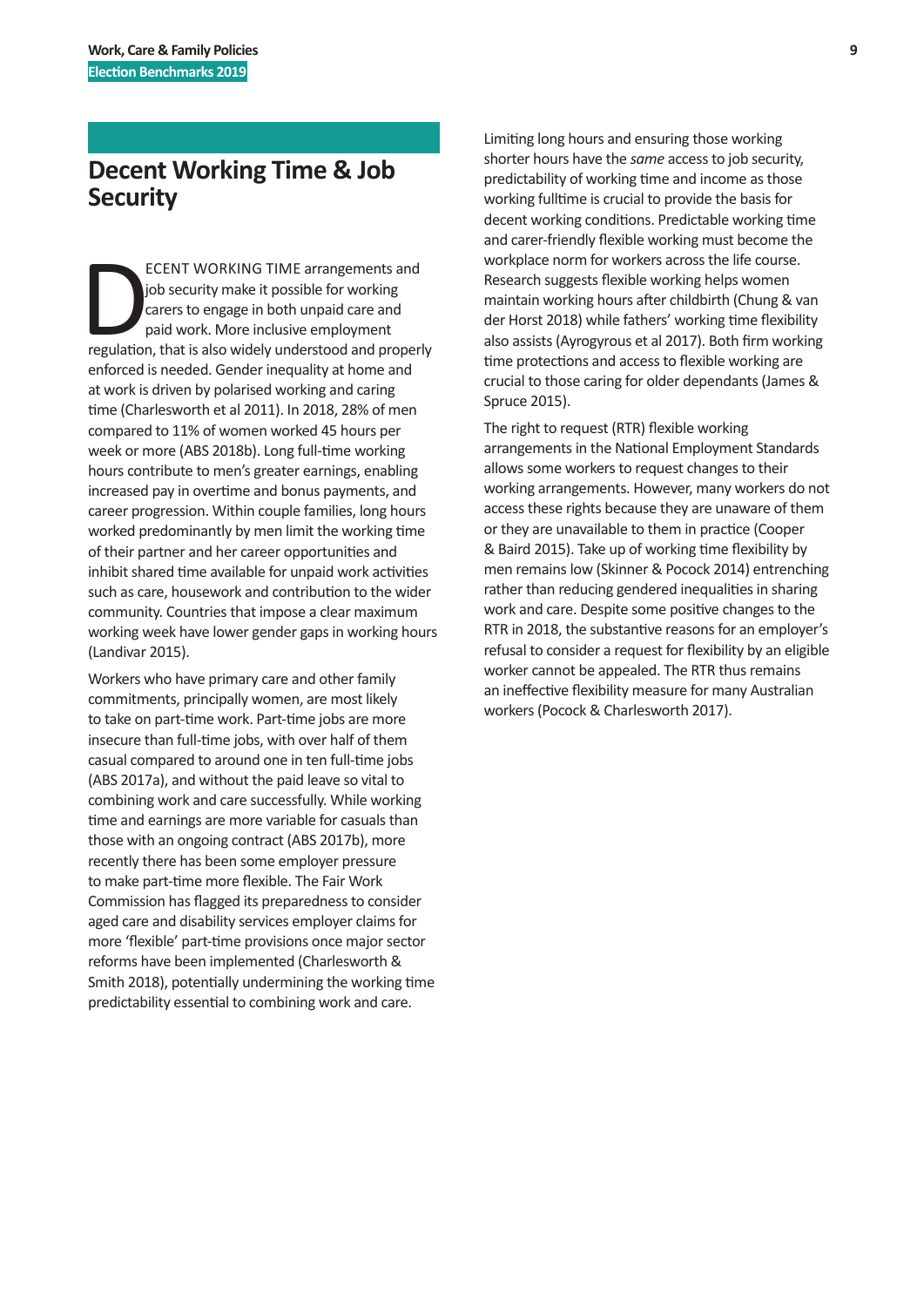## **Decent Working Time & Job Security**

ECENT WORKING TIME arrangements and job security make it possible for working carers to engage in both unpaid care and paid work. More inclusive employment regulation, that is also widely understood and properly job security make it possible for working carers to engage in both unpaid care and paid work. More inclusive employment enforced is needed. Gender inequality at home and at work is driven by polarised working and caring time (Charlesworth et al 2011). In 2018, 28% of men compared to 11% of women worked 45 hours per week or more (ABS 2018b). Long full-time working hours contribute to men's greater earnings, enabling increased pay in overtime and bonus payments, and career progression. Within couple families, long hours worked predominantly by men limit the working time of their partner and her career opportunities and inhibit shared time available for unpaid work activities such as care, housework and contribution to the wider community. Countries that impose a clear maximum working week have lower gender gaps in working hours (Landivar 2015).

Workers who have primary care and other family commitments, principally women, are most likely to take on part-time work. Part-time jobs are more insecure than full-time jobs, with over half of them casual compared to around one in ten full-time jobs (ABS 2017a), and without the paid leave so vital to combining work and care successfully. While working time and earnings are more variable for casuals than those with an ongoing contract (ABS 2017b), more recently there has been some employer pressure to make part-time more flexible. The Fair Work Commission has flagged its preparedness to consider aged care and disability services employer claims for more 'flexible' part-time provisions once major sector reforms have been implemented (Charlesworth & Smith 2018), potentially undermining the working time predictability essential to combining work and care.

Limiting long hours and ensuring those working shorter hours have the *same* access to job security, predictability of working time and income as those working fulltime is crucial to provide the basis for decent working conditions. Predictable working time and carer-friendly flexible working must become the workplace norm for workers across the life course. Research suggests flexible working helps women maintain working hours after childbirth (Chung & van der Horst 2018) while fathers' working time flexibility also assists (Ayrogyrous et al 2017). Both firm working time protections and access to flexible working are crucial to those caring for older dependants (James & Spruce 2015).

The right to request (RTR) flexible working arrangements in the National Employment Standards allows some workers to request changes to their working arrangements. However, many workers do not access these rights because they are unaware of them or they are unavailable to them in practice (Cooper & Baird 2015). Take up of working time flexibility by men remains low (Skinner & Pocock 2014) entrenching rather than reducing gendered inequalities in sharing work and care. Despite some positive changes to the RTR in 2018, the substantive reasons for an employer's refusal to consider a request for flexibility by an eligible worker cannot be appealed. The RTR thus remains an ineffective flexibility measure for many Australian workers (Pocock & Charlesworth 2017).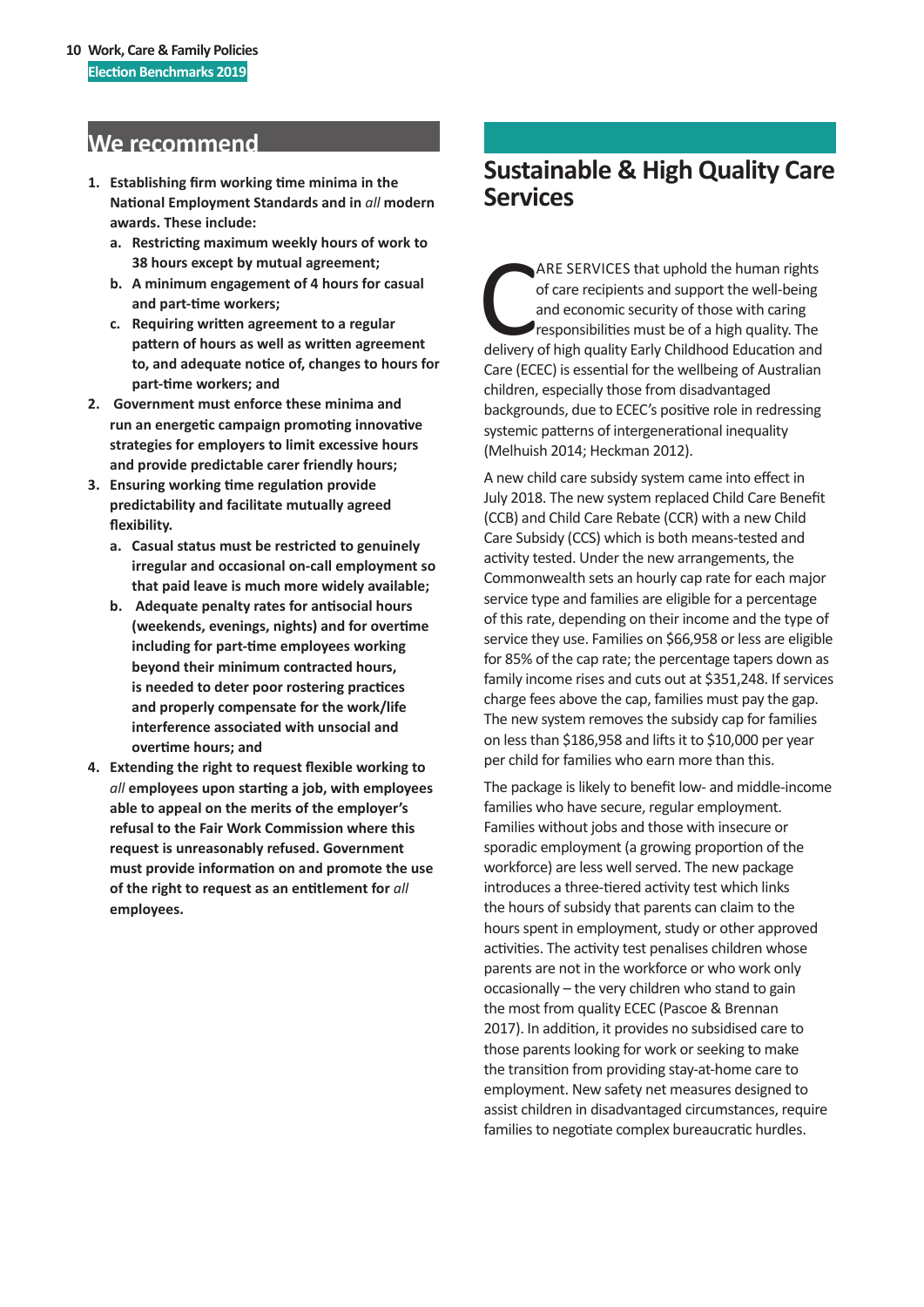## **We recommend**

- **1. Establishing firm working time minima in the National Employment Standards and in** *all* **modern awards. These include:** 
	- **a. Restricting maximum weekly hours of work to 38 hours except by mutual agreement;**
	- **b. A minimum engagement of 4 hours for casual and part-time workers;**
	- **c. Requiring written agreement to a regular pattern of hours as well as written agreement to, and adequate notice of, changes to hours for part-time workers; and**
- **2. Government must enforce these minima and run an energetic campaign promoting innovative strategies for employers to limit excessive hours and provide predictable carer friendly hours;**
- **3. Ensuring working time regulation provide predictability and facilitate mutually agreed flexibility.** 
	- **a. Casual status must be restricted to genuinely irregular and occasional on-call employment so that paid leave is much more widely available;**
	- **b. Adequate penalty rates for antisocial hours (weekends, evenings, nights) and for overtime including for part-time employees working beyond their minimum contracted hours, is needed to deter poor rostering practices and properly compensate for the work/life interference associated with unsocial and overtime hours; and**
- **4. Extending the right to request flexible working to**  *all* **employees upon starting a job, with employees able to appeal on the merits of the employer's refusal to the Fair Work Commission where this request is unreasonably refused. Government must provide information on and promote the use of the right to request as an entitlement for** *all* **employees.**

## **Sustainable & High Quality Care Services**

ARE SERVICES that uphold the human rights<br>of care recipients and support the well-being<br>and economic security of those with caring<br>responsibilities must be of a high quality. The<br>delivery of high quality Early Childhood Ed ARE SERVICES that uphold the human rights of care recipients and support the well-being and economic security of those with caring responsibilities must be of a high quality. The Care (ECEC) is essential for the wellbeing of Australian children, especially those from disadvantaged backgrounds, due to ECEC's positive role in redressing systemic patterns of intergenerational inequality (Melhuish 2014; Heckman 2012).

A new child care subsidy system came into effect in July 2018. The new system replaced Child Care Benefit (CCB) and Child Care Rebate (CCR) with a new Child Care Subsidy (CCS) which is both means-tested and activity tested. Under the new arrangements, the Commonwealth sets an hourly cap rate for each major service type and families are eligible for a percentage of this rate, depending on their income and the type of service they use. Families on \$66,958 or less are eligible for 85% of the cap rate; the percentage tapers down as family income rises and cuts out at \$351,248. If services charge fees above the cap, families must pay the gap. The new system removes the subsidy cap for families on less than \$186,958 and lifts it to \$10,000 per year per child for families who earn more than this.

The package is likely to benefit low- and middle-income families who have secure, regular employment. Families without jobs and those with insecure or sporadic employment (a growing proportion of the workforce) are less well served. The new package introduces a three-tiered activity test which links the hours of subsidy that parents can claim to the hours spent in employment, study or other approved activities. The activity test penalises children whose parents are not in the workforce or who work only occasionally – the very children who stand to gain the most from quality ECEC (Pascoe & Brennan 2017). In addition, it provides no subsidised care to those parents looking for work or seeking to make the transition from providing stay-at-home care to employment. New safety net measures designed to assist children in disadvantaged circumstances, require families to negotiate complex bureaucratic hurdles.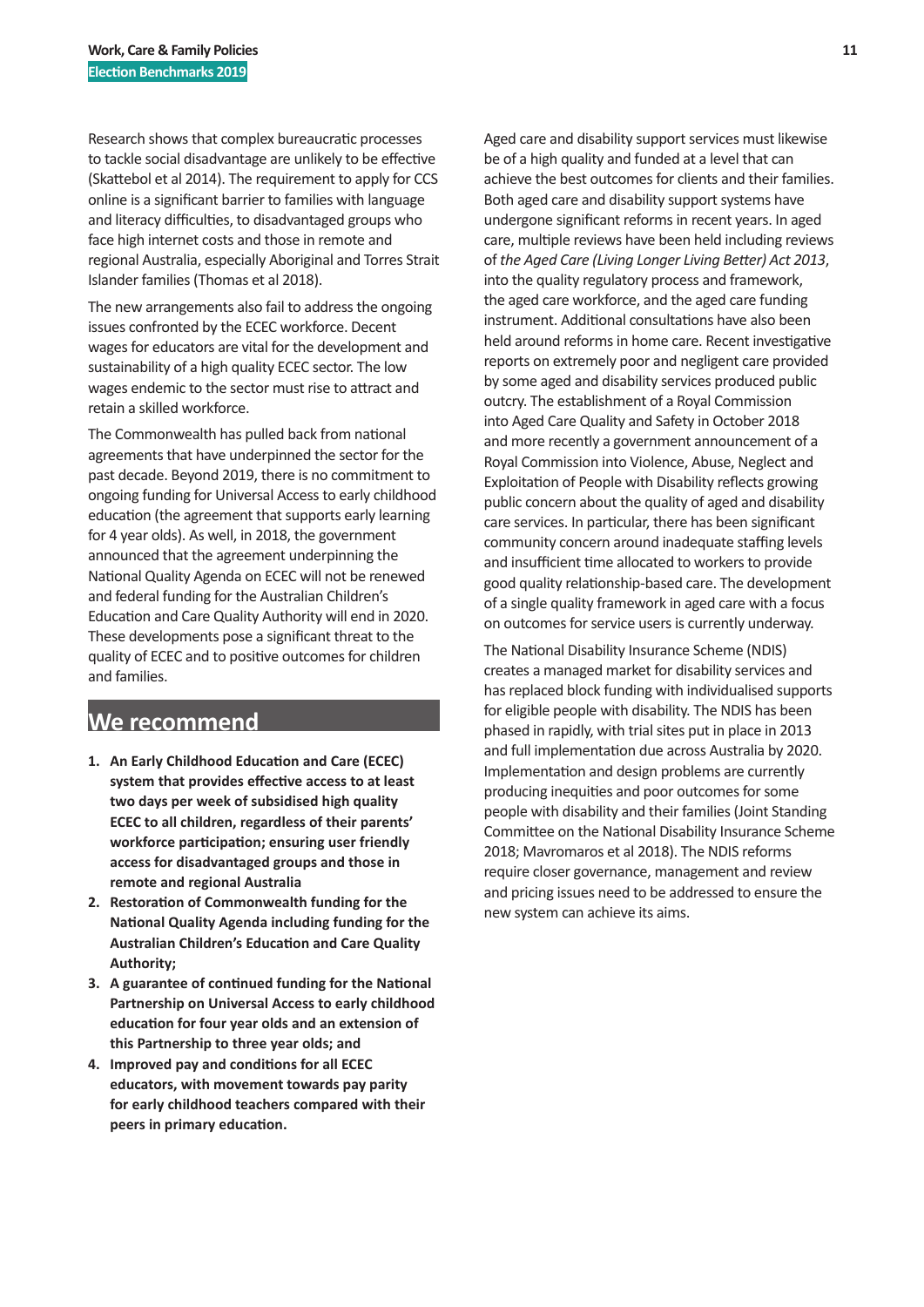Research shows that complex bureaucratic processes to tackle social disadvantage are unlikely to be effective (Skattebol et al 2014). The requirement to apply for CCS online is a significant barrier to families with language and literacy difficulties, to disadvantaged groups who face high internet costs and those in remote and regional Australia, especially Aboriginal and Torres Strait Islander families (Thomas et al 2018).

The new arrangements also fail to address the ongoing issues confronted by the ECEC workforce. Decent wages for educators are vital for the development and sustainability of a high quality ECEC sector. The low wages endemic to the sector must rise to attract and retain a skilled workforce.

The Commonwealth has pulled back from national agreements that have underpinned the sector for the past decade. Beyond 2019, there is no commitment to ongoing funding for Universal Access to early childhood education (the agreement that supports early learning for 4 year olds). As well, in 2018, the government announced that the agreement underpinning the National Quality Agenda on ECEC will not be renewed and federal funding for the Australian Children's Education and Care Quality Authority will end in 2020. These developments pose a significant threat to the quality of ECEC and to positive outcomes for children and families.

#### **We recommend**

- **1. An Early Childhood Education and Care (ECEC) system that provides effective access to at least two days per week of subsidised high quality ECEC to all children, regardless of their parents' workforce participation; ensuring user friendly access for disadvantaged groups and those in remote and regional Australia**
- **2. Restoration of Commonwealth funding for the National Quality Agenda including funding for the Australian Children's Education and Care Quality Authority;**
- **3. A guarantee of continued funding for the National Partnership on Universal Access to early childhood education for four year olds and an extension of this Partnership to three year olds; and**
- **4. Improved pay and conditions for all ECEC educators, with movement towards pay parity for early childhood teachers compared with their peers in primary education.**

Aged care and disability support services must likewise be of a high quality and funded at a level that can achieve the best outcomes for clients and their families. Both aged care and disability support systems have undergone significant reforms in recent years. In aged care, multiple reviews have been held including reviews of *the Aged Care (Living Longer Living Better) Act 2013*, into the quality regulatory process and framework, the aged care workforce, and the aged care funding instrument. Additional consultations have also been held around reforms in home care. Recent investigative reports on extremely poor and negligent care provided by some aged and disability services produced public outcry. The establishment of a Royal Commission into Aged Care Quality and Safety in October 2018 and more recently a government announcement of a Royal Commission into Violence, Abuse, Neglect and Exploitation of People with Disability reflects growing public concern about the quality of aged and disability care services. In particular, there has been significant community concern around inadequate staffing levels and insufficient time allocated to workers to provide good quality relationship-based care. The development of a single quality framework in aged care with a focus on outcomes for service users is currently underway.

The National Disability Insurance Scheme (NDIS) creates a managed market for disability services and has replaced block funding with individualised supports for eligible people with disability. The NDIS has been phased in rapidly, with trial sites put in place in 2013 and full implementation due across Australia by 2020. Implementation and design problems are currently producing inequities and poor outcomes for some people with disability and their families (Joint Standing Committee on the National Disability Insurance Scheme 2018; Mavromaros et al 2018). The NDIS reforms require closer governance, management and review and pricing issues need to be addressed to ensure the new system can achieve its aims.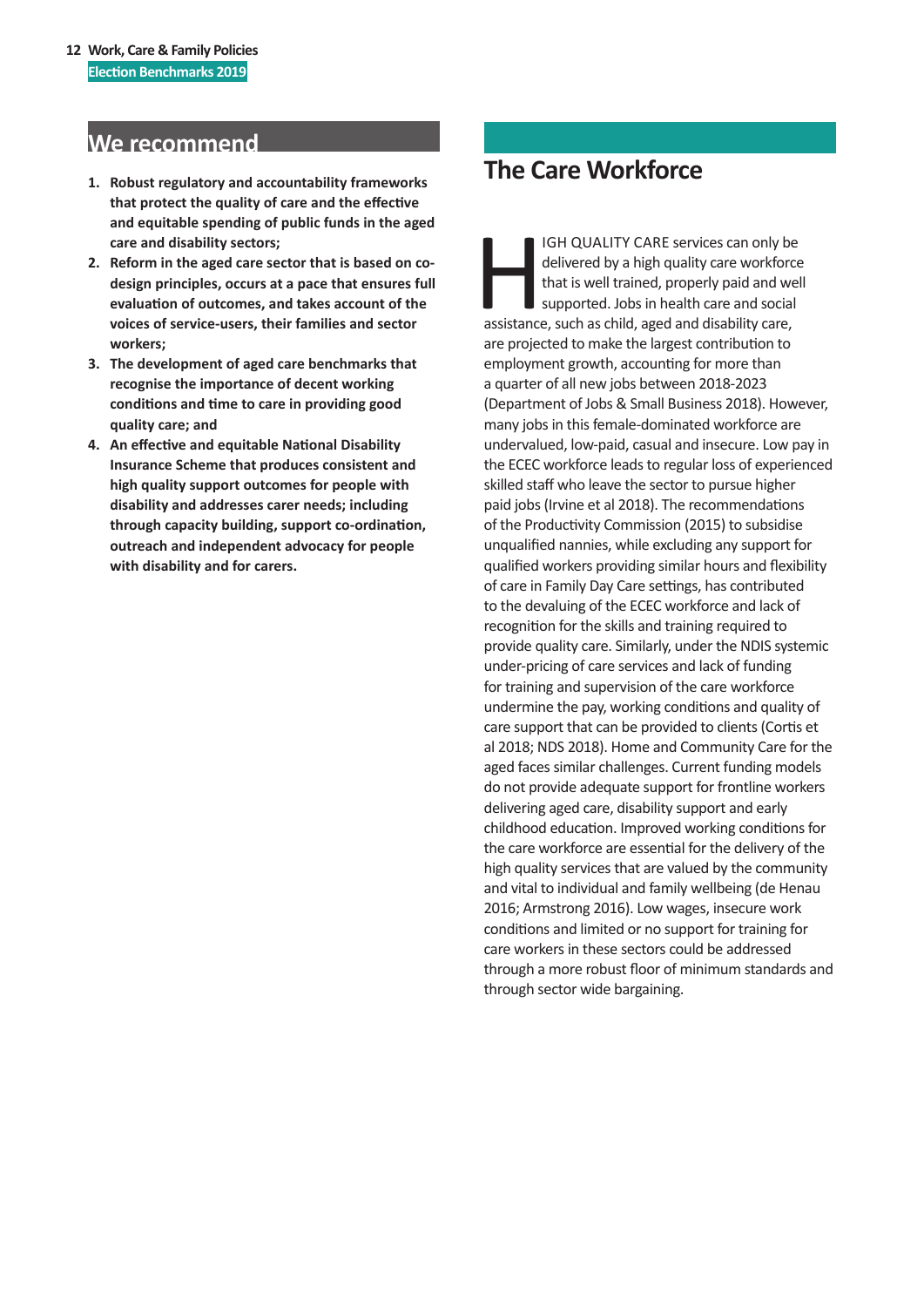## **We recommend**

- **1. Robust regulatory and accountability frameworks that protect the quality of care and the effective and equitable spending of public funds in the aged care and disability sectors;**
- **2. Reform in the aged care sector that is based on codesign principles, occurs at a pace that ensures full evaluation of outcomes, and takes account of the voices of service-users, their families and sector workers;**
- **3. The development of aged care benchmarks that recognise the importance of decent working conditions and time to care in providing good quality care; and**
- **4. An effective and equitable National Disability Insurance Scheme that produces consistent and high quality support outcomes for people with disability and addresses carer needs; including through capacity building, support co-ordination, outreach and independent advocacy for people with disability and for carers.**

## **The Care Workforce**

IGH QUALITY CARE services can only be delivered by a high quality care workforce that is well trained, properly paid and well supported. Jobs in health care and social assistance, such as child, aged and disability care, delivered by a high quality care workforce that is well trained, properly paid and well supported. Jobs in health care and social are projected to make the largest contribution to employment growth, accounting for more than a quarter of all new jobs between 2018-2023 (Department of Jobs & Small Business 2018). However, many jobs in this female-dominated workforce are undervalued, low-paid, casual and insecure. Low pay in the ECEC workforce leads to regular loss of experienced skilled staff who leave the sector to pursue higher paid jobs (Irvine et al 2018). The recommendations of the Productivity Commission (2015) to subsidise unqualified nannies, while excluding any support for qualified workers providing similar hours and flexibility of care in Family Day Care settings, has contributed to the devaluing of the ECEC workforce and lack of recognition for the skills and training required to provide quality care. Similarly, under the NDIS systemic under-pricing of care services and lack of funding for training and supervision of the care workforce undermine the pay, working conditions and quality of care support that can be provided to clients (Cortis et al 2018; NDS 2018). Home and Community Care for the aged faces similar challenges. Current funding models do not provide adequate support for frontline workers delivering aged care, disability support and early childhood education. Improved working conditions for the care workforce are essential for the delivery of the high quality services that are valued by the community and vital to individual and family wellbeing (de Henau 2016; Armstrong 2016). Low wages, insecure work conditions and limited or no support for training for care workers in these sectors could be addressed through a more robust floor of minimum standards and through sector wide bargaining.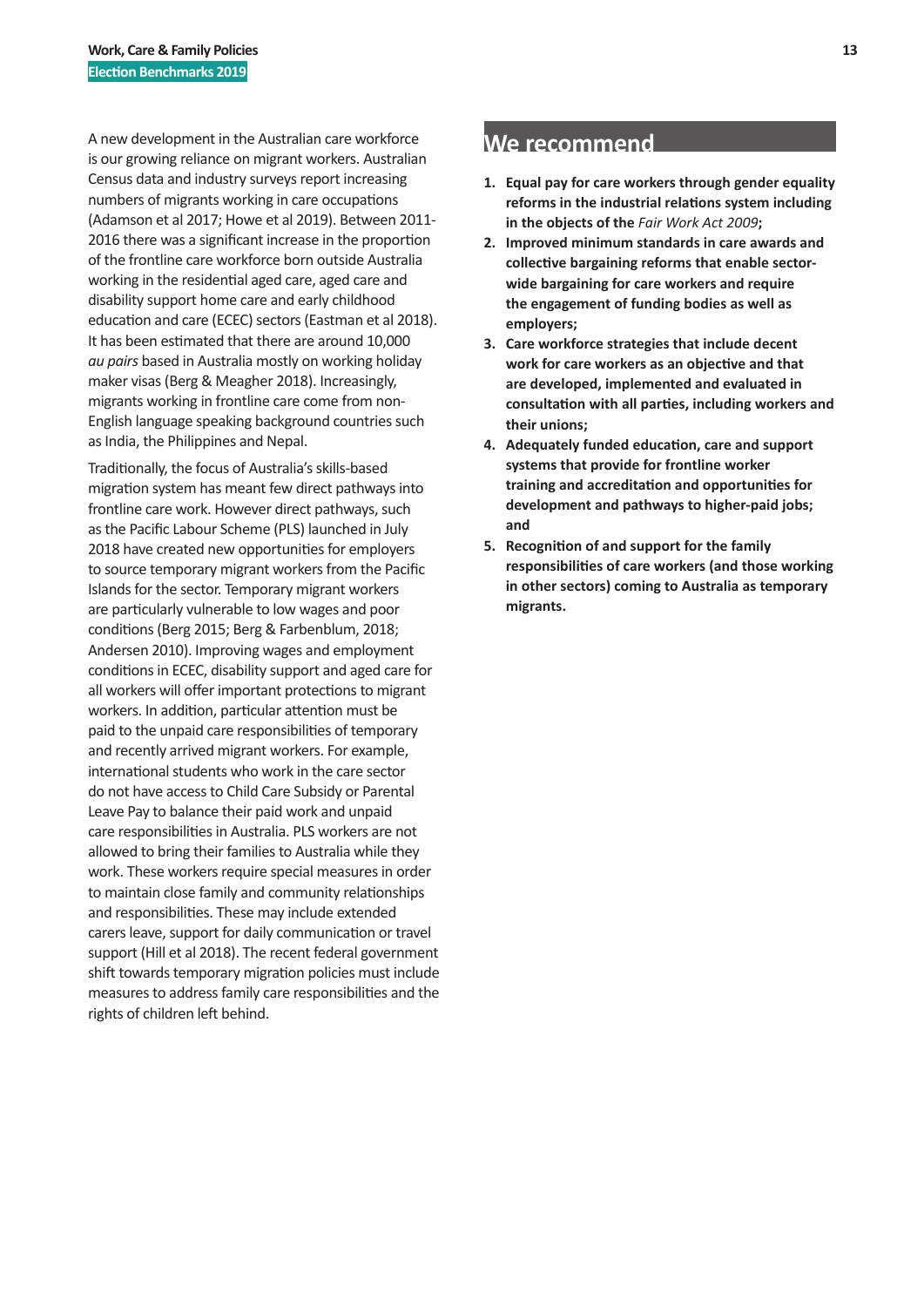A new development in the Australian care workforce is our growing reliance on migrant workers. Australian Census data and industry surveys report increasing numbers of migrants working in care occupations (Adamson et al 2017; Howe et al 2019). Between 2011- 2016 there was a significant increase in the proportion of the frontline care workforce born outside Australia working in the residential aged care, aged care and disability support home care and early childhood education and care (ECEC) sectors (Eastman et al 2018). It has been estimated that there are around 10,000 *au pairs* based in Australia mostly on working holiday maker visas (Berg & Meagher 2018). Increasingly, migrants working in frontline care come from non-English language speaking background countries such as India, the Philippines and Nepal.

Traditionally, the focus of Australia's skills-based migration system has meant few direct pathways into frontline care work. However direct pathways, such as the Pacific Labour Scheme (PLS) launched in July 2018 have created new opportunities for employers to source temporary migrant workers from the Pacific Islands for the sector. Temporary migrant workers are particularly vulnerable to low wages and poor conditions (Berg 2015; Berg & Farbenblum, 2018; Andersen 2010). Improving wages and employment conditions in ECEC, disability support and aged care for all workers will offer important protections to migrant workers. In addition, particular attention must be paid to the unpaid care responsibilities of temporary and recently arrived migrant workers. For example, international students who work in the care sector do not have access to Child Care Subsidy or Parental Leave Pay to balance their paid work and unpaid care responsibilities in Australia. PLS workers are not allowed to bring their families to Australia while they work. These workers require special measures in order to maintain close family and community relationships and responsibilities. These may include extended carers leave, support for daily communication or travel support (Hill et al 2018). The recent federal government shift towards temporary migration policies must include measures to address family care responsibilities and the rights of children left behind.

#### **We recommend**

- **1. Equal pay for care workers through gender equality reforms in the industrial relations system including in the objects of the** *Fair Work Act 2009***;**
- **2. Improved minimum standards in care awards and collective bargaining reforms that enable sectorwide bargaining for care workers and require the engagement of funding bodies as well as employers;**
- **3. Care workforce strategies that include decent work for care workers as an objective and that are developed, implemented and evaluated in consultation with all parties, including workers and their unions;**
- **4. Adequately funded education, care and support systems that provide for frontline worker training and accreditation and opportunities for development and pathways to higher-paid jobs; and**
- **5. Recognition of and support for the family responsibilities of care workers (and those working in other sectors) coming to Australia as temporary migrants.**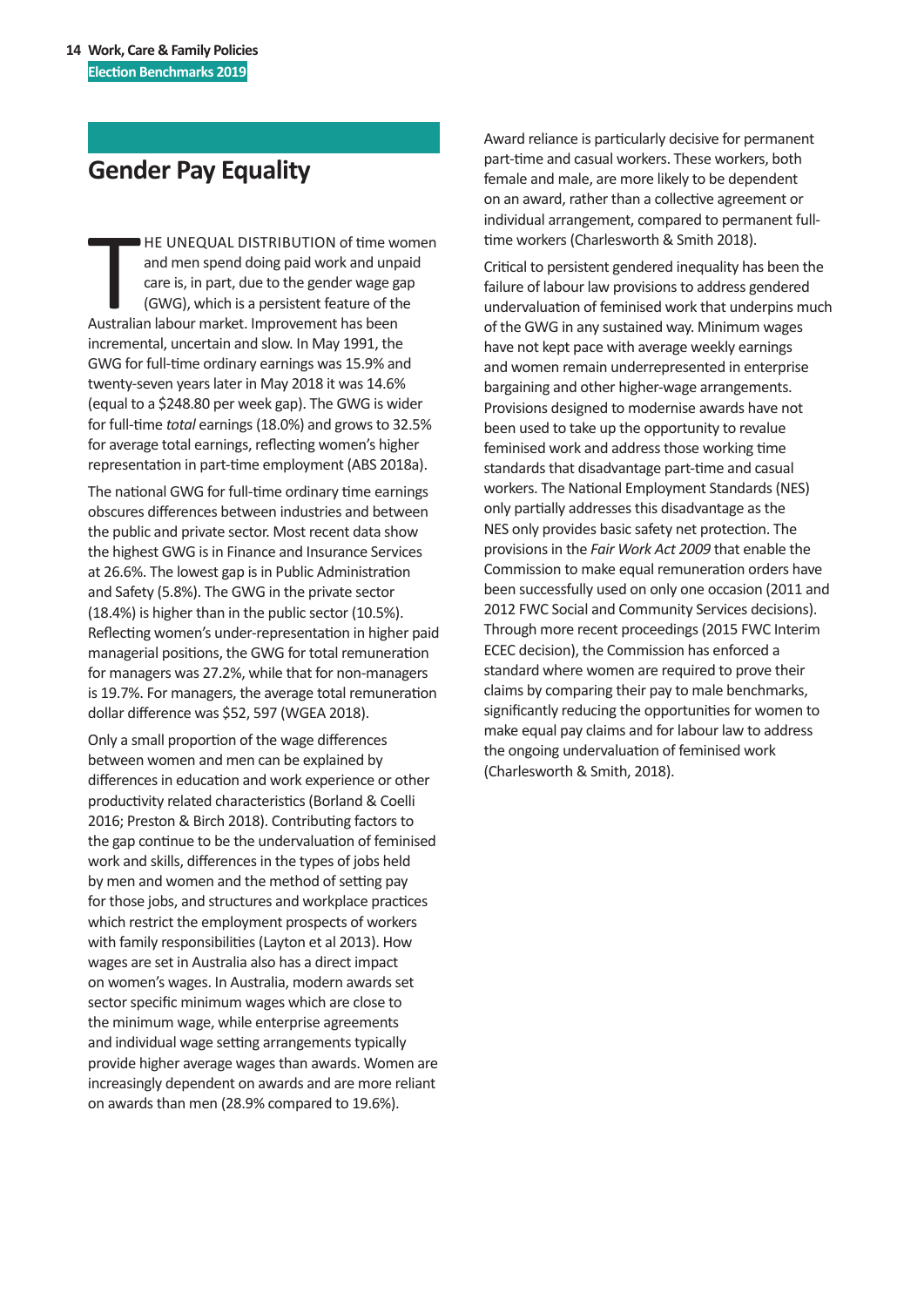## **Gender Pay Equality**

HE UNEQUAL DISTRIBUTION of time we and men spend doing paid work and unp care is, in part, due to the gender wage go (GWG), which is a persistent feature of the Australian labour market. Improvement has been HE UNEQUAL DISTRIBUTION of time women and men spend doing paid work and unpaid care is, in part, due to the gender wage gap (GWG), which is a persistent feature of the incremental, uncertain and slow. In May 1991, the GWG for full-time ordinary earnings was 15.9% and twenty-seven years later in May 2018 it was 14.6% (equal to a \$248.80 per week gap). The GWG is wider for full-time *total* earnings (18.0%) and grows to 32.5% for average total earnings, reflecting women's higher representation in part-time employment (ABS 2018a).

The national GWG for full-time ordinary time earnings obscures differences between industries and between the public and private sector. Most recent data show the highest GWG is in Finance and Insurance Services at 26.6%. The lowest gap is in Public Administration and Safety (5.8%). The GWG in the private sector (18.4%) is higher than in the public sector (10.5%). Reflecting women's under-representation in higher paid managerial positions, the GWG for total remuneration for managers was 27.2%, while that for non-managers is 19.7%. For managers, the average total remuneration dollar difference was \$52, 597 (WGEA 2018).

Only a small proportion of the wage differences between women and men can be explained by differences in education and work experience or other productivity related characteristics (Borland & Coelli 2016; Preston & Birch 2018). Contributing factors to the gap continue to be the undervaluation of feminised work and skills, differences in the types of jobs held by men and women and the method of setting pay for those jobs, and structures and workplace practices which restrict the employment prospects of workers with family responsibilities (Layton et al 2013). How wages are set in Australia also has a direct impact on women's wages. In Australia, modern awards set sector specific minimum wages which are close to the minimum wage, while enterprise agreements and individual wage setting arrangements typically provide higher average wages than awards. Women are increasingly dependent on awards and are more reliant on awards than men (28.9% compared to 19.6%).

Award reliance is particularly decisive for permanent part-time and casual workers. These workers, both female and male, are more likely to be dependent on an award, rather than a collective agreement or individual arrangement, compared to permanent fulltime workers (Charlesworth & Smith 2018).

Critical to persistent gendered inequality has been the failure of labour law provisions to address gendered undervaluation of feminised work that underpins much of the GWG in any sustained way. Minimum wages have not kept pace with average weekly earnings and women remain underrepresented in enterprise bargaining and other higher-wage arrangements. Provisions designed to modernise awards have not been used to take up the opportunity to revalue feminised work and address those working time standards that disadvantage part-time and casual workers. The National Employment Standards (NES) only partially addresses this disadvantage as the NES only provides basic safety net protection. The provisions in the *Fair Work Act 2009* that enable the Commission to make equal remuneration orders have been successfully used on only one occasion (2011 and 2012 FWC Social and Community Services decisions). Through more recent proceedings (2015 FWC Interim ECEC decision), the Commission has enforced a standard where women are required to prove their claims by comparing their pay to male benchmarks, significantly reducing the opportunities for women to make equal pay claims and for labour law to address the ongoing undervaluation of feminised work (Charlesworth & Smith, 2018).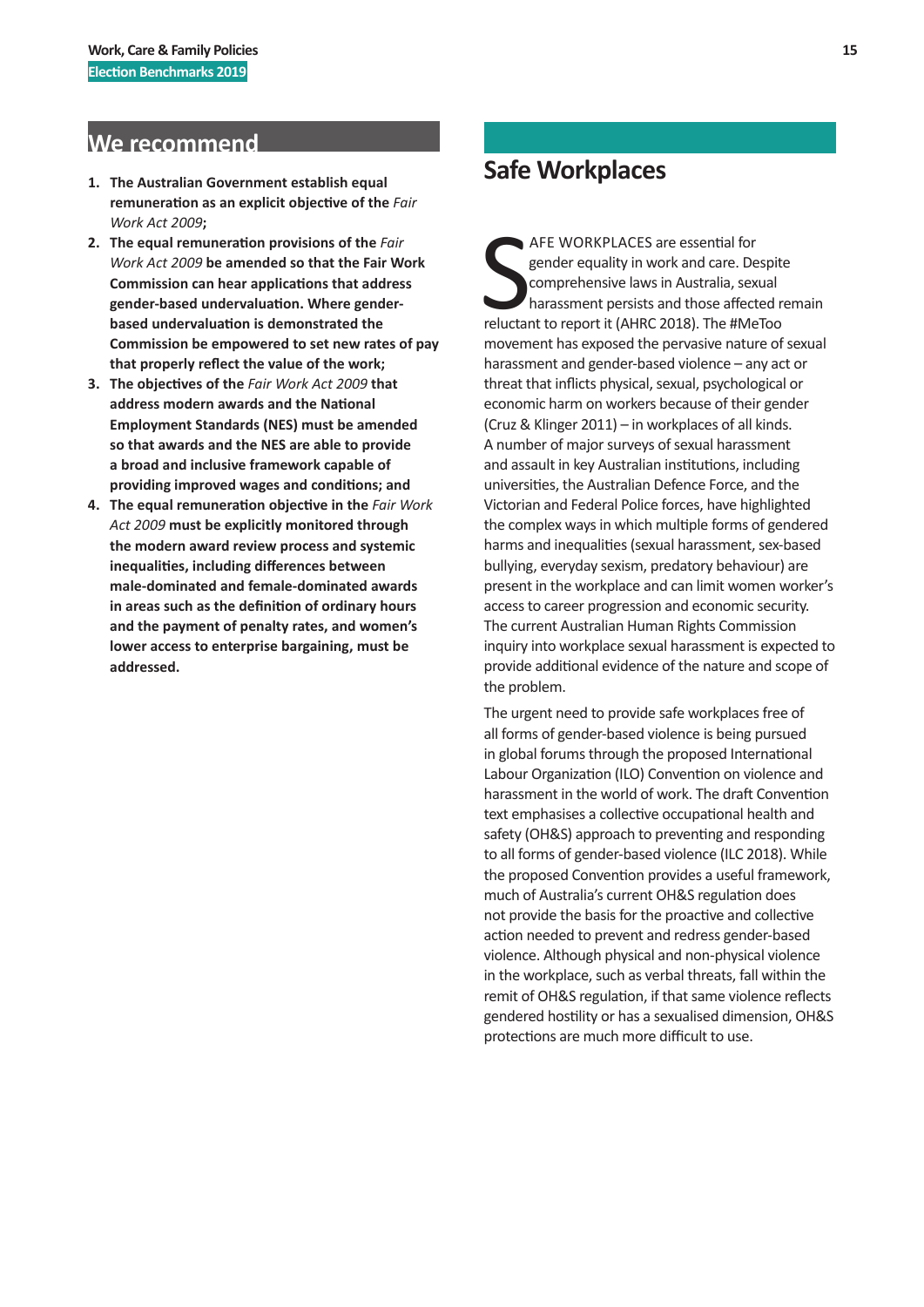### **We recommend**

- **1. The Australian Government establish equal remuneration as an explicit objective of the** *Fair Work Act 2009***;**
- **2. The equal remuneration provisions of the** *Fair Work Act 2009* **be amended so that the Fair Work Commission can hear applications that address gender-based undervaluation. Where genderbased undervaluation is demonstrated the Commission be empowered to set new rates of pay that properly reflect the value of the work;**
- **3. The objectives of the** *Fair Work Act 2009* **that address modern awards and the National Employment Standards (NES) must be amended so that awards and the NES are able to provide a broad and inclusive framework capable of providing improved wages and conditions; and**
- **4. The equal remuneration objective in the** *Fair Work Act 2009* **must be explicitly monitored through the modern award review process and systemic inequalities, including differences between male-dominated and female-dominated awards in areas such as the definition of ordinary hours and the payment of penalty rates, and women's lower access to enterprise bargaining, must be addressed.**

## **Safe Workplaces**

AFE WORKPLACES are essential for<br>gender equality in work and care. Despite<br>comprehensive laws in Australia, sexual<br>harassment persists and those affected reluctant to report it (AHRC 2018). The #MeToo AFE WORKPLACES are essential for gender equality in work and care. Despite comprehensive laws in Australia, sexual harassment persists and those affected remain movement has exposed the pervasive nature of sexual harassment and gender-based violence – any act or threat that inflicts physical, sexual, psychological or economic harm on workers because of their gender (Cruz & Klinger 2011) – in workplaces of all kinds. A number of major surveys of sexual harassment and assault in key Australian institutions, including universities, the Australian Defence Force, and the Victorian and Federal Police forces, have highlighted the complex ways in which multiple forms of gendered harms and inequalities (sexual harassment, sex-based bullying, everyday sexism, predatory behaviour) are present in the workplace and can limit women worker's access to career progression and economic security. The current Australian Human Rights Commission inquiry into workplace sexual harassment is expected to provide additional evidence of the nature and scope of the problem.

The urgent need to provide safe workplaces free of all forms of gender-based violence is being pursued in global forums through the proposed International Labour Organization (ILO) Convention on violence and harassment in the world of work. The draft Convention text emphasises a collective occupational health and safety (OH&S) approach to preventing and responding to all forms of gender-based violence (ILC 2018). While the proposed Convention provides a useful framework, much of Australia's current OH&S regulation does not provide the basis for the proactive and collective action needed to prevent and redress gender-based violence. Although physical and non-physical violence in the workplace, such as verbal threats, fall within the remit of OH&S regulation, if that same violence reflects gendered hostility or has a sexualised dimension, OH&S protections are much more difficult to use.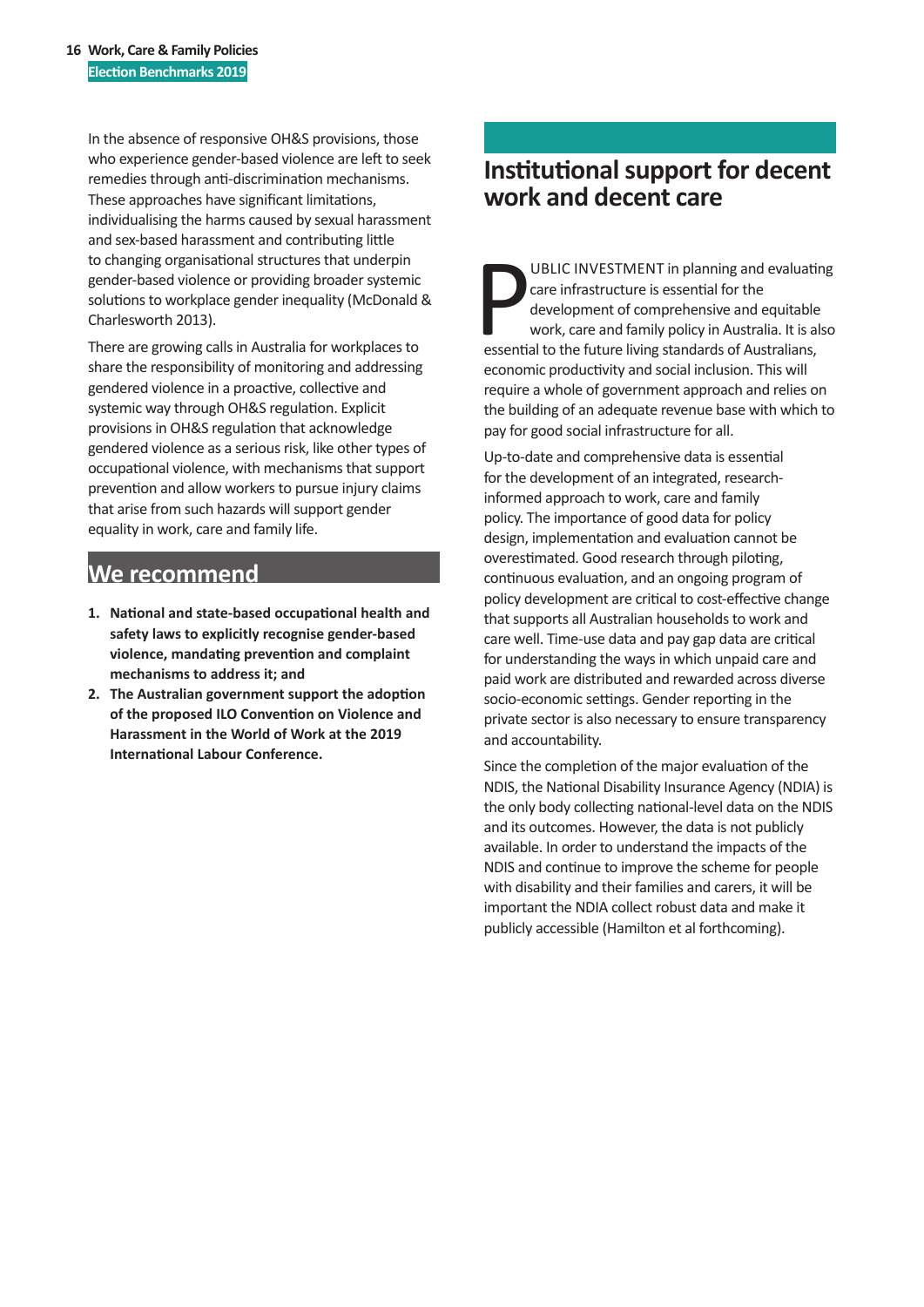In the absence of responsive OH&S provisions, those who experience gender-based violence are left to seek remedies through anti-discrimination mechanisms. These approaches have significant limitations, individualising the harms caused by sexual harassment and sex-based harassment and contributing little to changing organisational structures that underpin gender-based violence or providing broader systemic solutions to workplace gender inequality (McDonald & Charlesworth 2013).

There are growing calls in Australia for workplaces to share the responsibility of monitoring and addressing gendered violence in a proactive, collective and systemic way through OH&S regulation. Explicit provisions in OH&S regulation that acknowledge gendered violence as a serious risk, like other types of occupational violence, with mechanisms that support prevention and allow workers to pursue injury claims that arise from such hazards will support gender equality in work, care and family life.

#### **We recommend**

- **1. National and state-based occupational health and safety laws to explicitly recognise gender-based violence, mandating prevention and complaint mechanisms to address it; and**
- **2. The Australian government support the adoption of the proposed ILO Convention on Violence and Harassment in the World of Work at the 2019 International Labour Conference.**

## **Institutional support for decent work and decent care**

UBLIC INVESTMENT in planning and evaluation<br>care infrastructure is essential for the<br>development of comprehensive and equitable<br>work, care and family policy in Australia. It is al<br>essential to the future living standards o UBLIC INVESTMENT in planning and evaluating care infrastructure is essential for the development of comprehensive and equitable work, care and family policy in Australia. It is also economic productivity and social inclusion. This will require a whole of government approach and relies on the building of an adequate revenue base with which to pay for good social infrastructure for all.

Up-to-date and comprehensive data is essential for the development of an integrated, researchinformed approach to work, care and family policy. The importance of good data for policy design, implementation and evaluation cannot be overestimated. Good research through piloting, continuous evaluation, and an ongoing program of policy development are critical to cost-effective change that supports all Australian households to work and care well. Time-use data and pay gap data are critical for understanding the ways in which unpaid care and paid work are distributed and rewarded across diverse socio-economic settings. Gender reporting in the private sector is also necessary to ensure transparency and accountability.

Since the completion of the major evaluation of the NDIS, the National Disability Insurance Agency (NDIA) is the only body collecting national-level data on the NDIS and its outcomes. However, the data is not publicly available. In order to understand the impacts of the NDIS and continue to improve the scheme for people with disability and their families and carers, it will be important the NDIA collect robust data and make it publicly accessible (Hamilton et al forthcoming).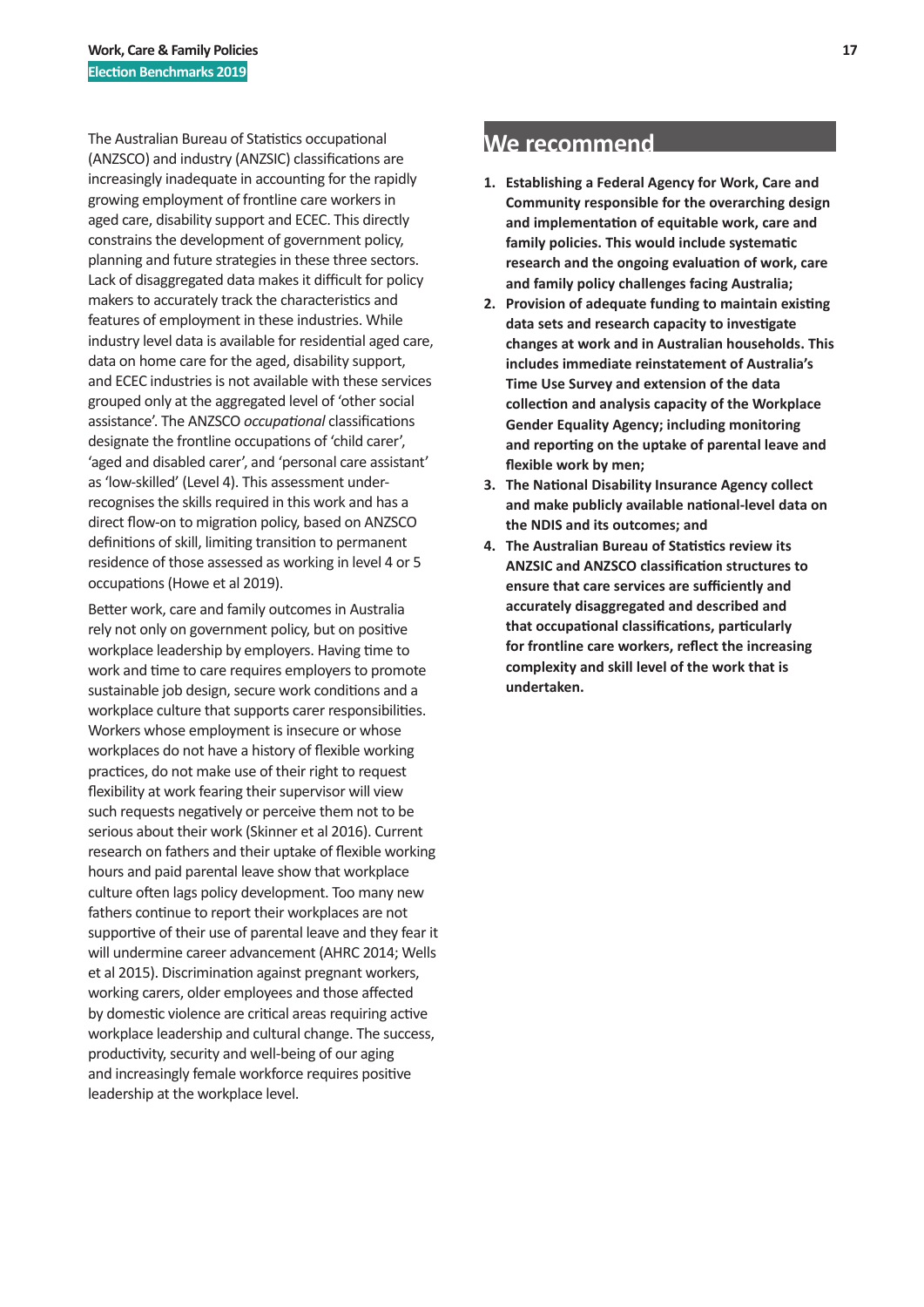The Australian Bureau of Statistics occupational (ANZSCO) and industry (ANZSIC) classifications are increasingly inadequate in accounting for the rapidly growing employment of frontline care workers in aged care, disability support and ECEC. This directly constrains the development of government policy, planning and future strategies in these three sectors. Lack of disaggregated data makes it difficult for policy makers to accurately track the characteristics and features of employment in these industries. While industry level data is available for residential aged care, data on home care for the aged, disability support, and ECEC industries is not available with these services grouped only at the aggregated level of 'other social assistance'. The ANZSCO *occupational* classifications designate the frontline occupations of 'child carer', 'aged and disabled carer', and 'personal care assistant' as 'low-skilled' (Level 4). This assessment underrecognises the skills required in this work and has a direct flow-on to migration policy, based on ANZSCO definitions of skill, limiting transition to permanent residence of those assessed as working in level 4 or 5 occupations (Howe et al 2019).

Better work, care and family outcomes in Australia rely not only on government policy, but on positive workplace leadership by employers. Having time to work and time to care requires employers to promote sustainable job design, secure work conditions and a workplace culture that supports carer responsibilities. Workers whose employment is insecure or whose workplaces do not have a history of flexible working practices, do not make use of their right to request flexibility at work fearing their supervisor will view such requests negatively or perceive them not to be serious about their work (Skinner et al 2016). Current research on fathers and their uptake of flexible working hours and paid parental leave show that workplace culture often lags policy development. Too many new fathers continue to report their workplaces are not supportive of their use of parental leave and they fear it will undermine career advancement (AHRC 2014; Wells et al 2015). Discrimination against pregnant workers, working carers, older employees and those affected by domestic violence are critical areas requiring active workplace leadership and cultural change. The success, productivity, security and well-being of our aging and increasingly female workforce requires positive leadership at the workplace level.

#### **We recommend**

- **1. Establishing a Federal Agency for Work, Care and Community responsible for the overarching design and implementation of equitable work, care and family policies. This would include systematic research and the ongoing evaluation of work, care and family policy challenges facing Australia;**
- **2. Provision of adequate funding to maintain existing data sets and research capacity to investigate changes at work and in Australian households. This includes immediate reinstatement of Australia's Time Use Survey and extension of the data collection and analysis capacity of the Workplace Gender Equality Agency; including monitoring and reporting on the uptake of parental leave and flexible work by men;**
- **3. The National Disability Insurance Agency collect and make publicly available national-level data on the NDIS and its outcomes; and**
- **4. The Australian Bureau of Statistics review its ANZSIC and ANZSCO classification structures to ensure that care services are sufficiently and accurately disaggregated and described and that occupational classifications, particularly for frontline care workers, reflect the increasing complexity and skill level of the work that is undertaken.**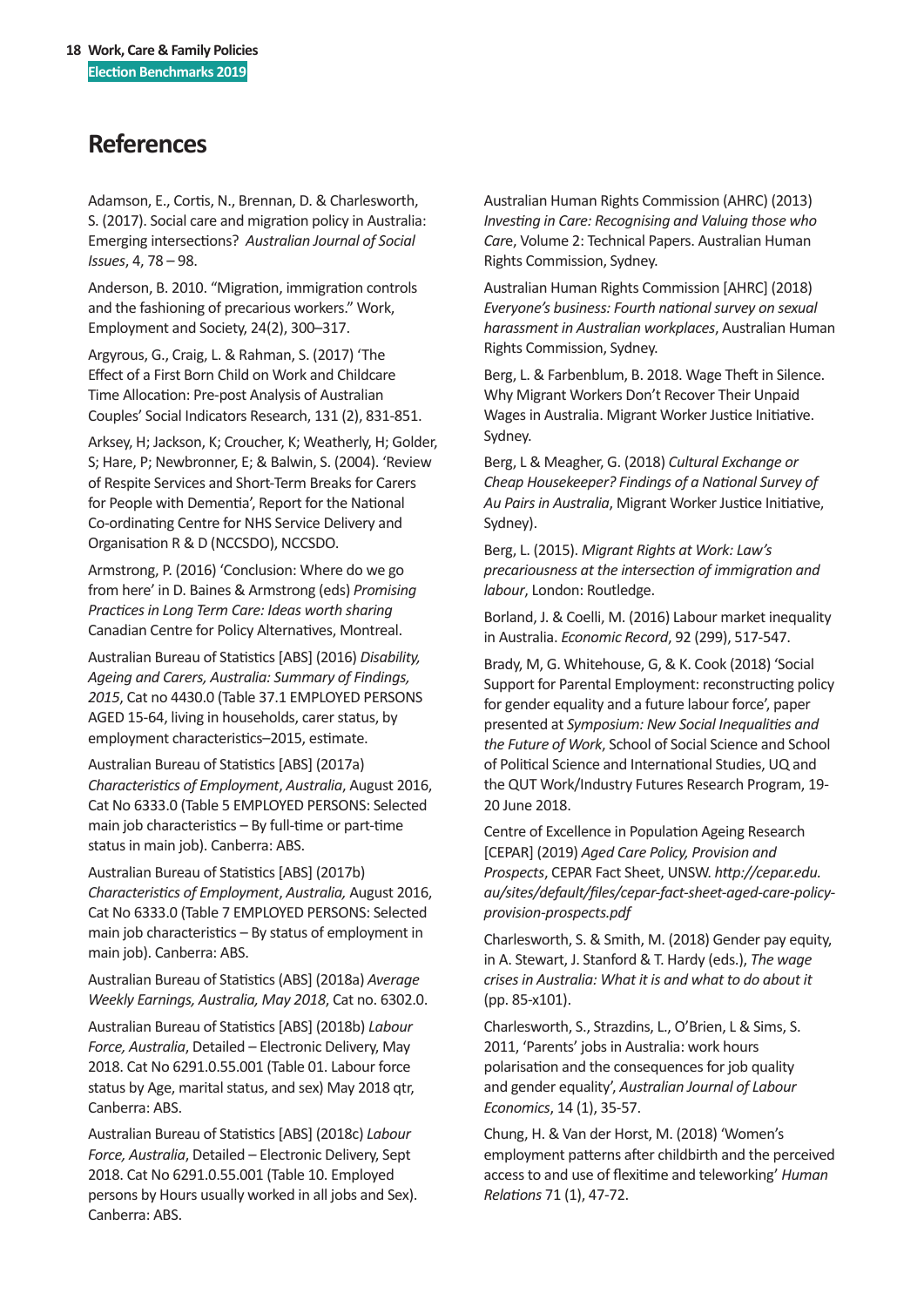## **References**

Adamson, E., Cortis, N., Brennan, D. & Charlesworth, S. (2017). Social care and migration policy in Australia: Emerging intersections? *Australian Journal of Social Issues*, 4, 78 – 98.

Anderson, B. 2010. "Migration, immigration controls and the fashioning of precarious workers." Work, Employment and Society, 24(2), 300–317.

Argyrous, G., Craig, L. & Rahman, S. (2017) 'The Effect of a First Born Child on Work and Childcare Time Allocation: Pre-post Analysis of Australian Couples' Social Indicators Research, 131 (2), 831-851.

Arksey, H; Jackson, K; Croucher, K; Weatherly, H; Golder, S; Hare, P; Newbronner, E; & Balwin, S. (2004). 'Review of Respite Services and Short-Term Breaks for Carers for People with Dementia', Report for the National Co-ordinating Centre for NHS Service Delivery and Organisation R & D (NCCSDO), NCCSDO.

Armstrong, P. (2016) 'Conclusion: Where do we go from here' in D. Baines & Armstrong (eds) *Promising Practices in Long Term Care: Ideas worth sharing* Canadian Centre for Policy Alternatives, Montreal.

Australian Bureau of Statistics [ABS] (2016) *Disability, Ageing and Carers, Australia: Summary of Findings, 2015*, Cat no 4430.0 (Table 37.1 EMPLOYED PERSONS AGED 15-64, living in households, carer status, by employment characteristics–2015, estimate.

Australian Bureau of Statistics [ABS] (2017a) *Characteristics of Employment*, *Australia*, August 2016, Cat No 6333.0 (Table 5 EMPLOYED PERSONS: Selected main job characteristics – By full-time or part-time status in main job). Canberra: ABS.

Australian Bureau of Statistics [ABS] (2017b) *Characteristics of Employment*, *Australia,* August 2016, Cat No 6333.0 (Table 7 EMPLOYED PERSONS: Selected main job characteristics – By status of employment in main job). Canberra: ABS.

Australian Bureau of Statistics (ABS] (2018a) *Average Weekly Earnings, Australia, May 2018*, Cat no. 6302.0.

Australian Bureau of Statistics [ABS] (2018b) *Labour Force, Australia*, Detailed – Electronic Delivery, May 2018. Cat No 6291.0.55.001 (Table 01. Labour force status by Age, marital status, and sex) May 2018 qtr, Canberra: ABS.

Australian Bureau of Statistics [ABS] (2018c) *Labour Force, Australia*, Detailed – Electronic Delivery, Sept 2018. Cat No 6291.0.55.001 (Table 10. Employed persons by Hours usually worked in all jobs and Sex). Canberra: ABS.

Australian Human Rights Commission (AHRC) (2013) *Investing in Care: Recognising and Valuing those who Car*e, Volume 2: Technical Papers. Australian Human Rights Commission, Sydney.

Australian Human Rights Commission [AHRC] (2018) *Everyone's business: Fourth national survey on sexual harassment in Australian workplaces*, Australian Human Rights Commission, Sydney.

Berg, L. & Farbenblum, B. 2018. Wage Theft in Silence. Why Migrant Workers Don't Recover Their Unpaid Wages in Australia. Migrant Worker Justice Initiative. Sydney.

Berg, L & Meagher, G. (2018) *Cultural Exchange or Cheap Housekeeper? Findings of a National Survey of Au Pairs in Australia*, Migrant Worker Justice Initiative, Sydney).

Berg, L. (2015). *Migrant Rights at Work: Law's precariousness at the intersection of immigration and labour*, London: Routledge.

Borland, J. & Coelli, M. (2016) Labour market inequality in Australia. *Economic Record*, 92 (299), 517-547.

Brady, M, G. Whitehouse, G, & K. Cook (2018) 'Social Support for Parental Employment: reconstructing policy for gender equality and a future labour force', paper presented at *Symposium: New Social Inequalities and the Future of Work*, School of Social Science and School of Political Science and International Studies, UQ and the QUT Work/Industry Futures Research Program, 19- 20 June 2018.

Centre of Excellence in Population Ageing Research [CEPAR] (2019) *Aged Care Policy, Provision and Prospects*, CEPAR Fact Sheet, UNSW. *[http://cepar.edu.](http://cepar.edu.au/sites/default/files/cepar-fact-sheet-aged-care-policy-provision-prospects.pdf) [au/sites/default/files/cepar-fact-sheet-aged-care-policy](http://cepar.edu.au/sites/default/files/cepar-fact-sheet-aged-care-policy-provision-prospects.pdf)[provision-prospects.pdf](http://cepar.edu.au/sites/default/files/cepar-fact-sheet-aged-care-policy-provision-prospects.pdf)*

Charlesworth, S. & Smith, M. (2018) Gender pay equity, in A. Stewart, J. Stanford & T. Hardy (eds.), *The wage crises in Australia: What it is and what to do about it*  (pp. 85-x101).

Charlesworth, S., Strazdins, L., O'Brien, L & Sims, S. 2011, 'Parents' jobs in Australia: work hours polarisation and the consequences for job quality and gender equality', *Australian Journal of Labour Economics*, 14 (1), 35-57.

Chung, H. & Van der Horst, M. (2018) 'Women's employment patterns after childbirth and the perceived access to and use of flexitime and teleworking' *Human Relations* 71 (1), 47-72.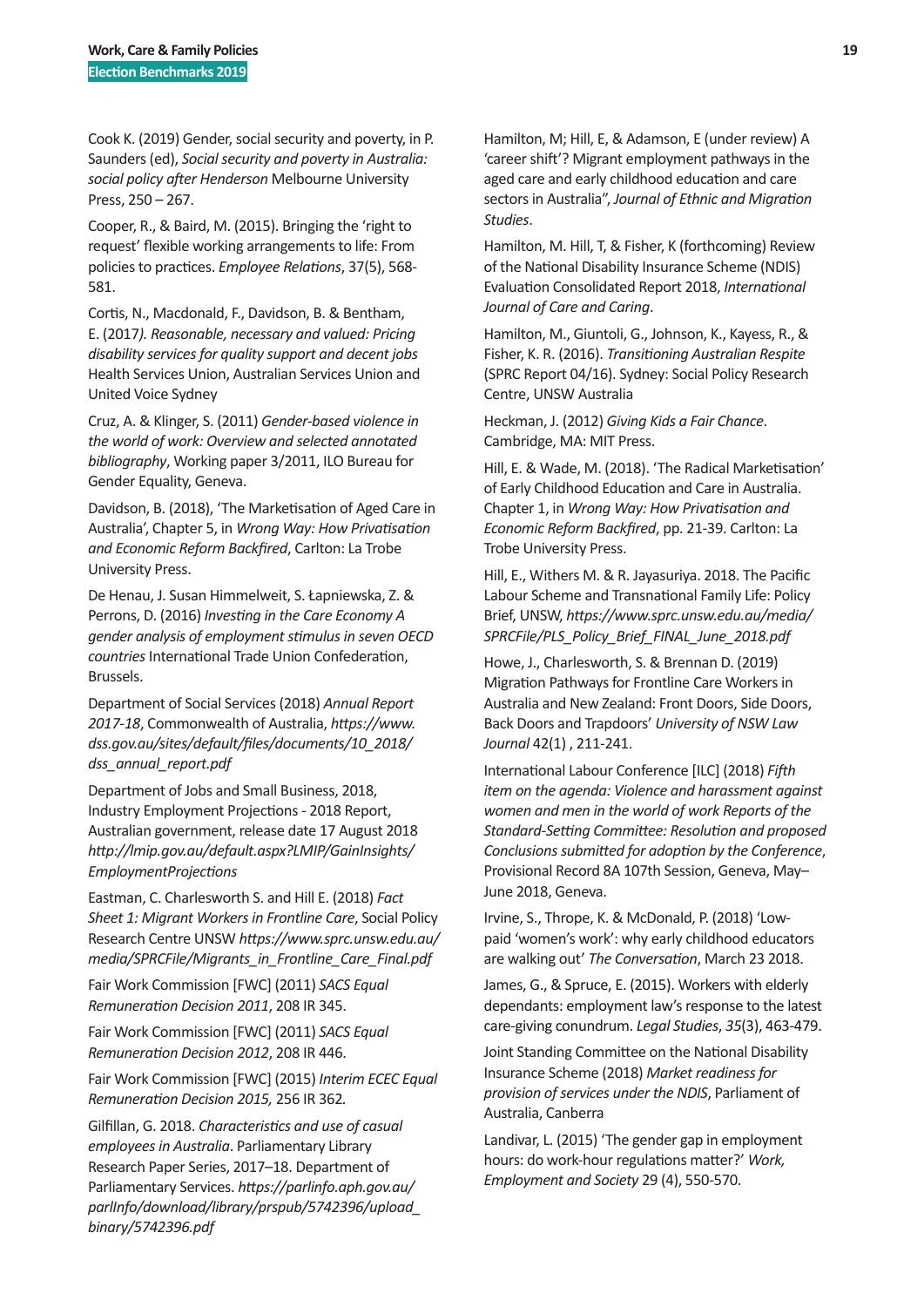Cook K. (2019) Gender, social security and poverty, in P. Saunders (ed), *Social security and poverty in Australia: social policy after Henderson* Melbourne University Press, 250 – 267.

Cooper, R., & Baird, M. (2015). Bringing the 'right to request' flexible working arrangements to life: From policies to practices. *Employee Relations*, 37(5), 568- 581.

Cortis, N., Macdonald, F., Davidson, B. & Bentham, E. (2017*). [Reasonable, necessary and valued: Pricing](http://researchbank.rmit.edu.au/list/?cat=quick_filter&form_name=adv_search&search_keys%5Bcore_66%5D=2006082431)  [disability services for quality support and decent jobs](http://researchbank.rmit.edu.au/list/?cat=quick_filter&form_name=adv_search&search_keys%5Bcore_66%5D=2006082431)* Health Services Union, Australian Services Union and United Voice Sydney

Cruz, A. & Klinger, S. (2011) *Gender-based violence in the world of work: Overview and selected annotated bibliography*, Working paper 3/2011, ILO Bureau for Gender Equality, Geneva.

Davidson, B. (2018), 'The Marketisation of Aged Care in Australia', Chapter 5, in *Wrong Way: How Privatisation and Economic Reform Backfired*, Carlton: La Trobe University Press.

De Henau, J. Susan Himmelweit, S. Łapniewska, Z. & Perrons, D. (2016) *Investing in the Care Economy A gender analysis of employment stimulus in seven OECD countries* International Trade Union Confederation, Brussels.

Department of Social Services (2018) *Annual Report 2017-18*, Commonwealth of Australia, *[https://www.](https://www.dss.gov.au/sites/default/files/documents/10_2018/dss_annual_report.pdf) [dss.gov.au/sites/default/files/documents/10\\_2018/](https://www.dss.gov.au/sites/default/files/documents/10_2018/dss_annual_report.pdf) [dss\\_annual\\_report.pdf](https://www.dss.gov.au/sites/default/files/documents/10_2018/dss_annual_report.pdf)*

Department of Jobs and Small Business, 2018, Industry Employment Projections - 2018 Report, Australian government, release date 17 August 2018 *[http://lmip.gov.au/default.aspx?LMIP/GainInsights/](http://lmip.gov.au/default.aspx?LMIP/GainInsights/EmploymentProjections) [EmploymentProjections](http://lmip.gov.au/default.aspx?LMIP/GainInsights/EmploymentProjections)*

Eastman, C. Charlesworth S. and Hill E. (2018) *Fact Sheet 1: Migrant Workers in Frontline Care*, Social Policy Research Centre UNSW *[https://www.sprc.unsw.edu.au/](https://www.sprc.unsw.edu.au/media/SPRCFile/Migrants_in_Frontline_Care_Final.pdf) [media/SPRCFile/Migrants\\_in\\_Frontline\\_Care\\_Final.pdf](https://www.sprc.unsw.edu.au/media/SPRCFile/Migrants_in_Frontline_Care_Final.pdf)*

Fair Work Commission [FWC] (2011) *SACS Equal Remuneration Decision 2011*, 208 IR 345.

Fair Work Commission [FWC] (2011) *SACS Equal Remuneration Decision 2012*, 208 IR 446.

Fair Work Commission [FWC] (2015) *Interim ECEC Equal Remuneration Decision 2015,* 256 IR 362*.*

Gilfillan, G. 2018. *Characteristics and use of casual employees in Australia*. Parliamentary Library Research Paper Series, 2017–18. Department of Parliamentary Services. *[https://parlinfo.aph.gov.au/](https://parlinfo.aph.gov.au/parlInfo/download/library/prspub/5742396/upload_binary/5742396.pdf) [parlInfo/download/library/prspub/5742396/upload\\_](https://parlinfo.aph.gov.au/parlInfo/download/library/prspub/5742396/upload_binary/5742396.pdf) [binary/5742396.pdf](https://parlinfo.aph.gov.au/parlInfo/download/library/prspub/5742396/upload_binary/5742396.pdf)*

Hamilton, M; Hill, E, & Adamson, E (under review) A 'career shift'? Migrant employment pathways in the aged care and early childhood education and care sectors in Australia", *Journal of Ethnic and Migration Studies*.

Hamilton, M. Hill, T, & Fisher, K (forthcoming) Review of the National Disability Insurance Scheme (NDIS) Evaluation Consolidated Report 2018, *International Journal of Care and Caring*.

Hamilton, M., Giuntoli, G., Johnson, K., Kayess, R., & Fisher, K. R. (2016). *Transitioning Australian Respite* (SPRC Report 04/16). Sydney: Social Policy Research Centre, UNSW Australia

Heckman, J. (2012) *Giving Kids a Fair Chance*. Cambridge, MA: MIT Press.

Hill, E. & Wade, M. (2018). 'The Radical Marketisation' of Early Childhood Education and Care in Australia. Chapter 1, in *Wrong Way: How Privatisation and Economic Reform Backfired*, pp. 21-39. Carlton: La Trobe University Press.

Hill, E., Withers M. & R. Jayasuriya. 2018. The Pacific Labour Scheme and Transnational Family Life: Policy Brief, UNSW, *[https://www.sprc.unsw.edu.au/media/](https://www.sprc.unsw.edu.au/media/SPRCFile/PLS_Policy_Brief_FINAL_June_2018.pdf) [SPRCFile/PLS\\_Policy\\_Brief\\_FINAL\\_June\\_2018.pdf](https://www.sprc.unsw.edu.au/media/SPRCFile/PLS_Policy_Brief_FINAL_June_2018.pdf)*

Howe, J., Charlesworth, S. & Brennan D. (2019) Migration Pathways for Frontline Care Workers in Australia and New Zealand: Front Doors, Side Doors, Back Doors and Trapdoors' *University of NSW Law Journal* 42(1) , 211-241.

International Labour Conference [ILC] (2018) *Fifth item on the agenda: Violence and harassment against women and men in the world of work Reports of the Standard-Setting Committee: Resolution and proposed Conclusions submitted for adoption by the Conference*, Provisional Record 8A 107th Session, Geneva, May– June 2018, Geneva.

Irvine, S., Thrope, K. & McDonald, P. (2018) 'Lowpaid 'women's work': why early childhood educators are walking out' *The Conversation*, March 23 2018.

James, G., & Spruce, E. (2015). Workers with elderly dependants: employment law's response to the latest care-giving conundrum. *Legal Studies*, *35*(3), 463-479.

Joint Standing Committee on the National Disability Insurance Scheme (2018) *Market readiness for provision of services under the NDIS*, Parliament of Australia, Canberra

Landivar, L. (2015) 'The gender gap in employment hours: do work-hour regulations matter?' *Work, Employment and Society* 29 (4), 550-570.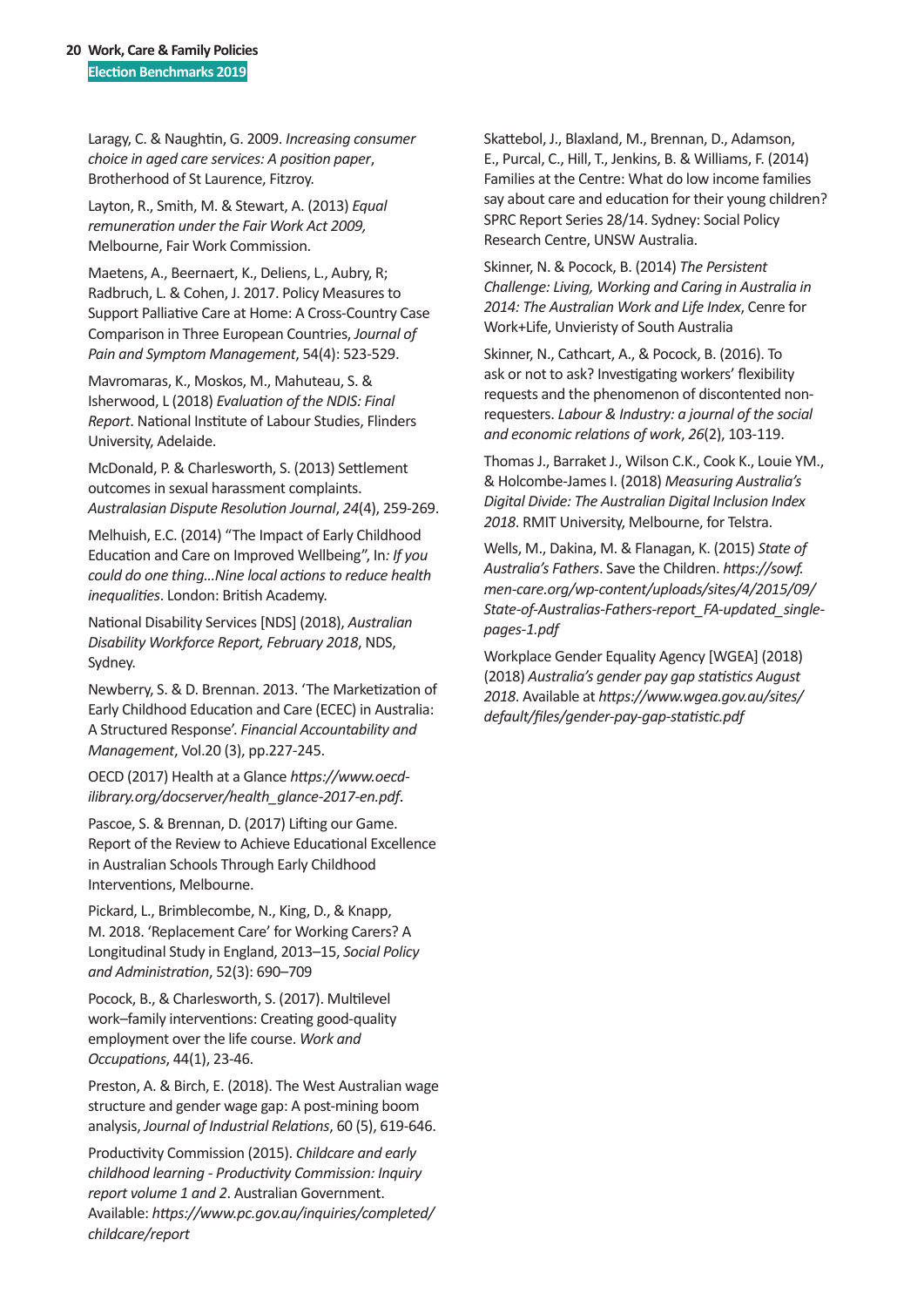Laragy, C. & Naughtin, G. 2009. *Increasing consumer choice in aged care services: A position paper*, Brotherhood of St Laurence, Fitzroy.

Layton, R., Smith, M. & Stewart, A. (2013) *Equal remuneration under the Fair Work Act 2009,*  Melbourne, Fair Work Commission.

Maetens, A., Beernaert, K., Deliens, L., Aubry, R; Radbruch, L. & Cohen, J. 2017. Policy Measures to Support Palliative Care at Home: A Cross-Country Case Comparison in Three European Countries, *Journal of Pain and Symptom Management*, 54(4): 523-529.

Mavromaras, K., Moskos, M., Mahuteau, S. & Isherwood, L (2018) *Evaluation of the NDIS: Final Report*. National Institute of Labour Studies, Flinders University, Adelaide.

McDonald, P. & Charlesworth, S. (2013) Settlement outcomes in sexual harassment complaints. *Australasian Dispute Resolution Journal*, *24*(4), 259-269.

Melhuish, E.C. (2014) "The Impact of Early Childhood Education and Care on Improved Wellbeing", In*: If you could do one thing…Nine local actions to reduce health inequalities*. London: British Academy.

National Disability Services [NDS] (2018), *Australian Disability Workforce Report, February 2018*, NDS, Sydney.

Newberry, S. & D. Brennan. 2013. 'The Marketization of Early Childhood Education and Care (ECEC) in Australia: A Structured Response'. *Financial Accountability and Management*, Vol.20 (3), pp.227-245.

OECD (2017) Health at a Glance *[https://www.oecd](https://apac01.safelinks.protection.outlook.com/?url=https%3A%2F%2Fwww.oecd-ilibrary.org%2Fdocserver%2Fhealth_glance-2017-en.pdf%3Fexpires%3D1550624453%26id%3Did%26accname%3Docid177499%26checksum%3D81C1D1EB855828B4EE7634DF5EF5369B&data=01%7C01%7C%7C7a3ac044d3df4c501ac008d69706fc29%7Cd1323671cdbe4417b4d4bdb24b51316b%7C1&sdata=H01vFRF43q3bdGnSTt6mheLSKIPYNShjRq2cQ9%2FkK0o%3D&reserved=0)[ilibrary.org/docserver/health\\_glance-2017-en.pdf](https://apac01.safelinks.protection.outlook.com/?url=https%3A%2F%2Fwww.oecd-ilibrary.org%2Fdocserver%2Fhealth_glance-2017-en.pdf%3Fexpires%3D1550624453%26id%3Did%26accname%3Docid177499%26checksum%3D81C1D1EB855828B4EE7634DF5EF5369B&data=01%7C01%7C%7C7a3ac044d3df4c501ac008d69706fc29%7Cd1323671cdbe4417b4d4bdb24b51316b%7C1&sdata=H01vFRF43q3bdGnSTt6mheLSKIPYNShjRq2cQ9%2FkK0o%3D&reserved=0)*.

Pascoe, S. & Brennan, D. (2017) Lifting our Game. Report of the Review to Achieve Educational Excellence in Australian Schools Through Early Childhood Interventions, Melbourne.

Pickard, L., Brimblecombe, N., King, D., & Knapp, M. 2018. 'Replacement Care' for Working Carers? A Longitudinal Study in England, 2013–15, *Social Policy and Administration*, 52(3): 690–709

Pocock, B., & Charlesworth, S. (2017). Multilevel work–family interventions: Creating good-quality employment over the life course. *Work and Occupations*, 44(1), 23-46.

Preston, A. & Birch, E. (2018). The West Australian wage structure and gender wage gap: A post-mining boom analysis, *Journal of Industrial Relations*, 60 (5), 619-646.

Productivity Commission (2015). *Childcare and early childhood learning - Productivity Commission: Inquiry report volume 1 and 2*. Australian Government. Available: *[https://www.pc.gov.au/inquiries/completed/](https://www.pc.gov.au/inquiries/completed/childcare/report) [childcare/report](https://www.pc.gov.au/inquiries/completed/childcare/report)*

Skattebol, J., Blaxland, M., Brennan, D., Adamson, E., Purcal, C., Hill, T., Jenkins, B. & Williams, F. (2014) Families at the Centre: What do low income families say about care and education for their young children? SPRC Report Series 28/14. Sydney: Social Policy Research Centre, UNSW Australia.

Skinner, N. & Pocock, B. (2014) *The Persistent Challenge: Living, Working and Caring in Australia in 2014: The Australian Work and Life Index*, Cenre for Work+Life, Unvieristy of South Australia

Skinner, N., Cathcart, A., & Pocock, B. (2016). To ask or not to ask? Investigating workers' flexibility requests and the phenomenon of discontented nonrequesters. *Labour & Industry: a journal of the social and economic relations of work*, *26*(2), 103-119.

Thomas J., Barraket J., Wilson C.K., Cook K., Louie YM., & Holcombe-James I. (2018) *Measuring Australia's Digital Divide: The Australian Digital Inclusion Index 2018*. RMIT University, Melbourne, for Telstra.

Wells, M., Dakina, M. & Flanagan, K. (2015) *State of Australia's Fathers*. Save the Children. *[https://sowf.](https://sowf.men-care.org/wp-content/uploads/sites/4/2015/09/State-of-Australias-Fathers-report_FA-updated_single-pages-1.pdf) [men-care.org/wp-content/uploads/sites/4/2015/09/](https://sowf.men-care.org/wp-content/uploads/sites/4/2015/09/State-of-Australias-Fathers-report_FA-updated_single-pages-1.pdf) [State-of-Australias-Fathers-report\\_FA-updated\\_single](https://sowf.men-care.org/wp-content/uploads/sites/4/2015/09/State-of-Australias-Fathers-report_FA-updated_single-pages-1.pdf)[pages-1.pdf](https://sowf.men-care.org/wp-content/uploads/sites/4/2015/09/State-of-Australias-Fathers-report_FA-updated_single-pages-1.pdf)*

Workplace Gender Equality Agency [WGEA] (2018) (2018) *Australia's gender pay gap statistics August 2018*. Available at *[https://www.wgea.gov.au/sites/](https://www.wgea.gov.au/sites/default/files/gender-pay-gap-statistic.pdf) [default/files/gender-pay-gap-statistic.pdf](https://www.wgea.gov.au/sites/default/files/gender-pay-gap-statistic.pdf)*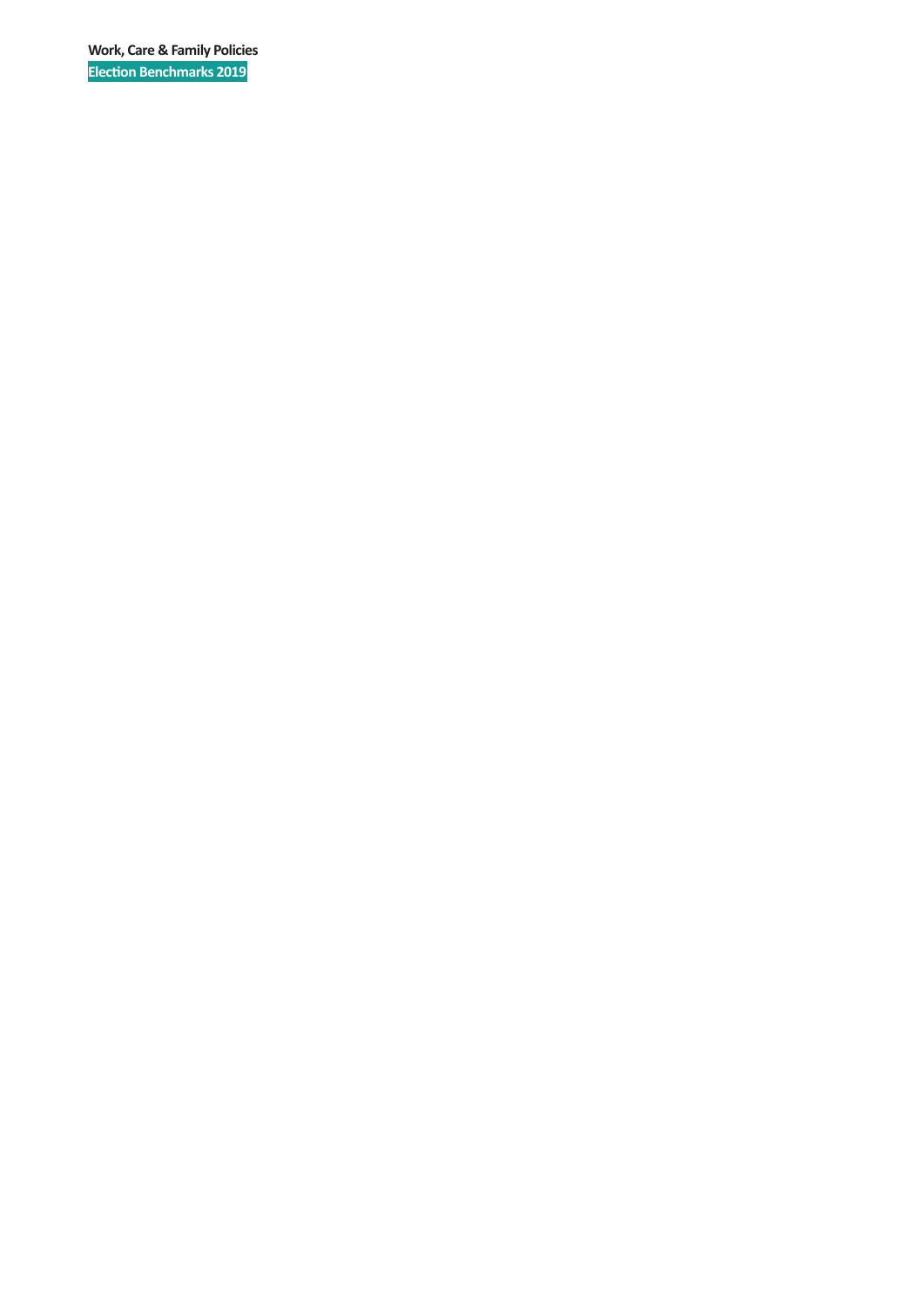**Work, Care & Family Policies Election Benchmarks 2019**